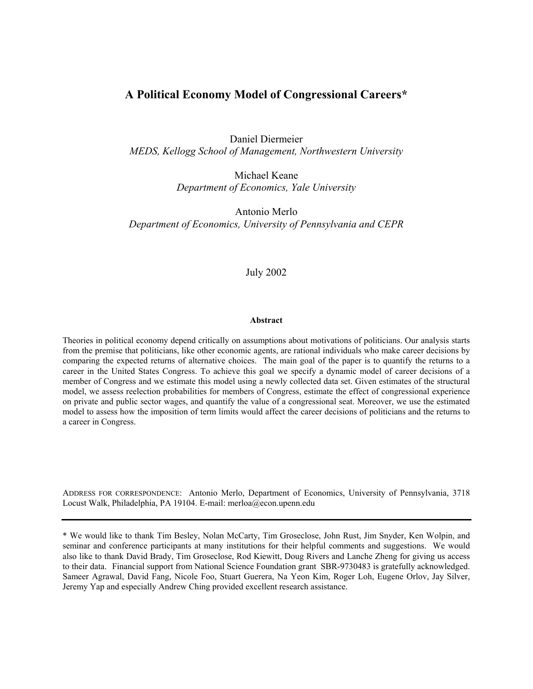## **A Political Economy Model of Congressional Careers\***

Daniel Diermeier *MEDS, Kellogg School of Management, Northwestern University*

> Michael Keane *Department of Economics, Yale University*

Antonio Merlo *Department of Economics, University of Pennsylvania and CEPR*

### July 2002

#### **Abstract**

Theories in political economy depend critically on assumptions about motivations of politicians. Our analysis starts from the premise that politicians, like other economic agents, are rational individuals who make career decisions by comparing the expected returns of alternative choices. The main goal of the paper is to quantify the returns to a career in the United States Congress. To achieve this goal we specify a dynamic model of career decisions of a member of Congress and we estimate this model using a newly collected data set. Given estimates of the structural model, we assess reelection probabilities for members of Congress, estimate the effect of congressional experience on private and public sector wages, and quantify the value of a congressional seat. Moreover, we use the estimated model to assess how the imposition of term limits would affect the career decisions of politicians and the returns to a career in Congress.

ADDRESS FOR CORRESPONDENCE: Antonio Merlo, Department of Economics, University of Pennsylvania, 3718 Locust Walk, Philadelphia, PA 19104. E-mail: merloa@econ.upenn.edu

\* We would like to thank Tim Besley, Nolan McCarty, Tim Groseclose, John Rust, Jim Snyder, Ken Wolpin, and seminar and conference participants at many institutions for their helpful comments and suggestions. We would also like to thank David Brady, Tim Groseclose, Rod Kiewitt, Doug Rivers and Lanche Zheng for giving us access to their data. Financial support from National Science Foundation grant SBR-9730483 is gratefully acknowledged. Sameer Agrawal, David Fang, Nicole Foo, Stuart Guerera, Na Yeon Kim, Roger Loh, Eugene Orlov, Jay Silver, Jeremy Yap and especially Andrew Ching provided excellent research assistance.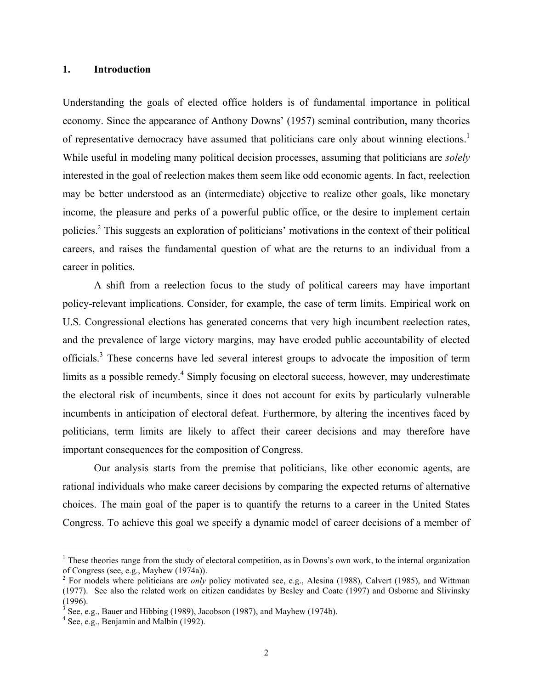### **1. Introduction**

Understanding the goals of elected office holders is of fundamental importance in political economy. Since the appearance of Anthony Downs' (1957) seminal contribution, many theories of representative democracy have assumed that politicians care only about winning elections.<sup>1</sup> While useful in modeling many political decision processes, assuming that politicians are *solely* interested in the goal of reelection makes them seem like odd economic agents. In fact, reelection may be better understood as an (intermediate) objective to realize other goals, like monetary income, the pleasure and perks of a powerful public office, or the desire to implement certain policies.2 This suggests an exploration of politicians' motivations in the context of their political careers, and raises the fundamental question of what are the returns to an individual from a career in politics.

A shift from a reelection focus to the study of political careers may have important policy-relevant implications. Consider, for example, the case of term limits. Empirical work on U.S. Congressional elections has generated concerns that very high incumbent reelection rates, and the prevalence of large victory margins, may have eroded public accountability of elected officials.<sup>3</sup> These concerns have led several interest groups to advocate the imposition of term limits as a possible remedy.<sup>4</sup> Simply focusing on electoral success, however, may underestimate the electoral risk of incumbents, since it does not account for exits by particularly vulnerable incumbents in anticipation of electoral defeat. Furthermore, by altering the incentives faced by politicians, term limits are likely to affect their career decisions and may therefore have important consequences for the composition of Congress.

Our analysis starts from the premise that politicians, like other economic agents, are rational individuals who make career decisions by comparing the expected returns of alternative choices. The main goal of the paper is to quantify the returns to a career in the United States Congress. To achieve this goal we specify a dynamic model of career decisions of a member of

<sup>&</sup>lt;sup>1</sup> These theories range from the study of electoral competition, as in Downs's own work, to the internal organization of Congress (see, e.g., Mayhew (1974a)).

<sup>&</sup>lt;sup>2</sup> For models where politicians are *only* policy motivated see, e.g., Alesina (1988), Calvert (1985), and Wittman (1977). See also the related work on citizen candidates by Besley and Coate (1997) and Osborne and Slivinsky

<sup>(1996).&</sup>lt;br><sup>3</sup> See, e.g., Bauer and Hibbing (1989), Jacobson (1987), and Mayhew (1974b).

<sup>&</sup>lt;sup>4</sup> See, e.g., Benjamin and Malbin (1992).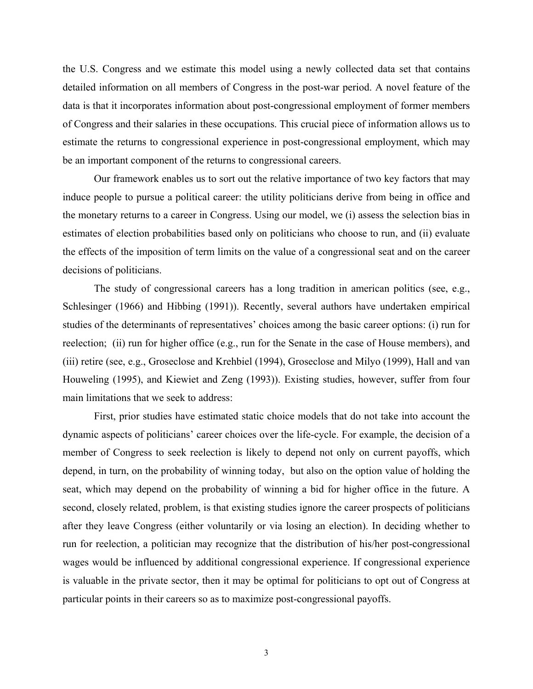the U.S. Congress and we estimate this model using a newly collected data set that contains detailed information on all members of Congress in the post-war period. A novel feature of the data is that it incorporates information about post-congressional employment of former members of Congress and their salaries in these occupations. This crucial piece of information allows us to estimate the returns to congressional experience in post-congressional employment, which may be an important component of the returns to congressional careers.

Our framework enables us to sort out the relative importance of two key factors that may induce people to pursue a political career: the utility politicians derive from being in office and the monetary returns to a career in Congress. Using our model, we (i) assess the selection bias in estimates of election probabilities based only on politicians who choose to run, and (ii) evaluate the effects of the imposition of term limits on the value of a congressional seat and on the career decisions of politicians.

The study of congressional careers has a long tradition in american politics (see, e.g., Schlesinger (1966) and Hibbing (1991)). Recently, several authors have undertaken empirical studies of the determinants of representatives' choices among the basic career options: (i) run for reelection; (ii) run for higher office (e.g., run for the Senate in the case of House members), and (iii) retire (see, e.g., Groseclose and Krehbiel (1994), Groseclose and Milyo (1999), Hall and van Houweling (1995), and Kiewiet and Zeng (1993)). Existing studies, however, suffer from four main limitations that we seek to address:

First, prior studies have estimated static choice models that do not take into account the dynamic aspects of politicians' career choices over the life-cycle. For example, the decision of a member of Congress to seek reelection is likely to depend not only on current payoffs, which depend, in turn, on the probability of winning today, but also on the option value of holding the seat, which may depend on the probability of winning a bid for higher office in the future. A second, closely related, problem, is that existing studies ignore the career prospects of politicians after they leave Congress (either voluntarily or via losing an election). In deciding whether to run for reelection, a politician may recognize that the distribution of his/her post-congressional wages would be influenced by additional congressional experience. If congressional experience is valuable in the private sector, then it may be optimal for politicians to opt out of Congress at particular points in their careers so as to maximize post-congressional payoffs.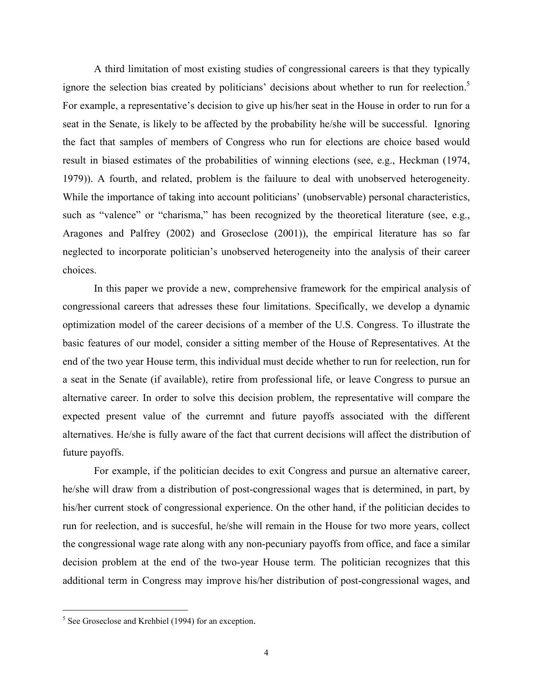A third limitation of most existing studies of congressional careers is that they typically ignore the selection bias created by politicians' decisions about whether to run for reelection.<sup>5</sup> For example, a representative's decision to give up his/her seat in the House in order to run for a seat in the Senate, is likely to be affected by the probability he/she will be successful. Ignoring the fact that samples of members of Congress who run for elections are choice based would result in biased estimates of the probabilities of winning elections (see, e.g., Heckman (1974, 1979)). A fourth, and related, problem is the failuure to deal with unobserved heterogeneity. While the importance of taking into account politicians' (unobservable) personal characteristics, such as "valence" or "charisma," has been recognized by the theoretical literature (see, e.g., Aragones and Palfrey (2002) and Groseclose (2001)), the empirical literature has so far neglected to incorporate politician's unobserved heterogeneity into the analysis of their career choices.

In this paper we provide a new, comprehensive framework for the empirical analysis of congressional careers that adresses these four limitations. Specifically, we develop a dynamic optimization model of the career decisions of a member of the U.S. Congress. To illustrate the basic features of our model, consider a sitting member of the House of Representatives. At the end of the two year House term, this individual must decide whether to run for reelection, run for a seat in the Senate (if available), retire from professional life, or leave Congress to pursue an alternative career. In order to solve this decision problem, the representative will compare the expected present value of the curremnt and future payoffs associated with the different alternatives. He/she is fully aware of the fact that current decisions will affect the distribution of future payoffs.

For example, if the politician decides to exit Congress and pursue an alternative career, he/she will draw from a distribution of post-congressional wages that is determined, in part, by his/her current stock of congressional experience. On the other hand, if the politician decides to run for reelection, and is succesful, he/she will remain in the House for two more years, collect the congressional wage rate along with any non-pecuniary payoffs from office, and face a similar decision problem at the end of the two-year House term. The politician recognizes that this additional term in Congress may improve his/her distribution of post-congressional wages, and

<sup>&</sup>lt;sup>5</sup> See Groseclose and Krehbiel (1994) for an exception.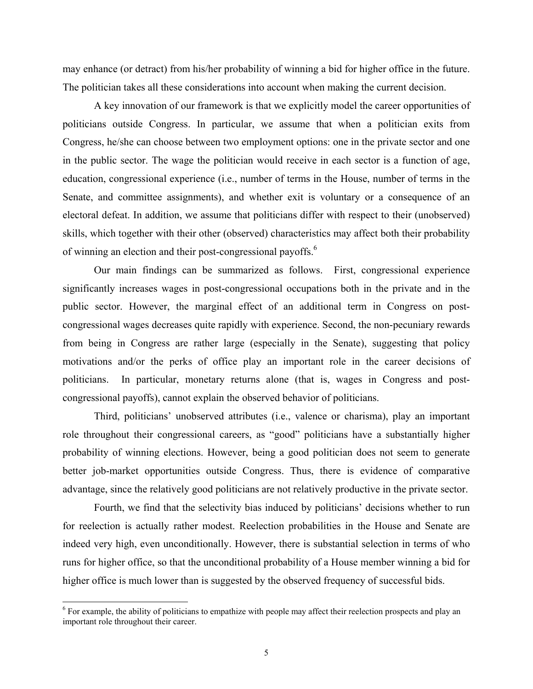may enhance (or detract) from his/her probability of winning a bid for higher office in the future. The politician takes all these considerations into account when making the current decision.

A key innovation of our framework is that we explicitly model the career opportunities of politicians outside Congress. In particular, we assume that when a politician exits from Congress, he/she can choose between two employment options: one in the private sector and one in the public sector. The wage the politician would receive in each sector is a function of age, education, congressional experience (i.e., number of terms in the House, number of terms in the Senate, and committee assignments), and whether exit is voluntary or a consequence of an electoral defeat. In addition, we assume that politicians differ with respect to their (unobserved) skills, which together with their other (observed) characteristics may affect both their probability of winning an election and their post-congressional payoffs.<sup>6</sup>

Our main findings can be summarized as follows. First, congressional experience significantly increases wages in post-congressional occupations both in the private and in the public sector. However, the marginal effect of an additional term in Congress on postcongressional wages decreases quite rapidly with experience. Second, the non-pecuniary rewards from being in Congress are rather large (especially in the Senate), suggesting that policy motivations and/or the perks of office play an important role in the career decisions of politicians. In particular, monetary returns alone (that is, wages in Congress and postcongressional payoffs), cannot explain the observed behavior of politicians.

Third, politicians' unobserved attributes (i.e., valence or charisma), play an important role throughout their congressional careers, as "good" politicians have a substantially higher probability of winning elections. However, being a good politician does not seem to generate better job-market opportunities outside Congress. Thus, there is evidence of comparative advantage, since the relatively good politicians are not relatively productive in the private sector.

Fourth, we find that the selectivity bias induced by politicians' decisions whether to run for reelection is actually rather modest. Reelection probabilities in the House and Senate are indeed very high, even unconditionally. However, there is substantial selection in terms of who runs for higher office, so that the unconditional probability of a House member winning a bid for higher office is much lower than is suggested by the observed frequency of successful bids.

 $6$  For example, the ability of politicians to empathize with people may affect their reelection prospects and play an important role throughout their career.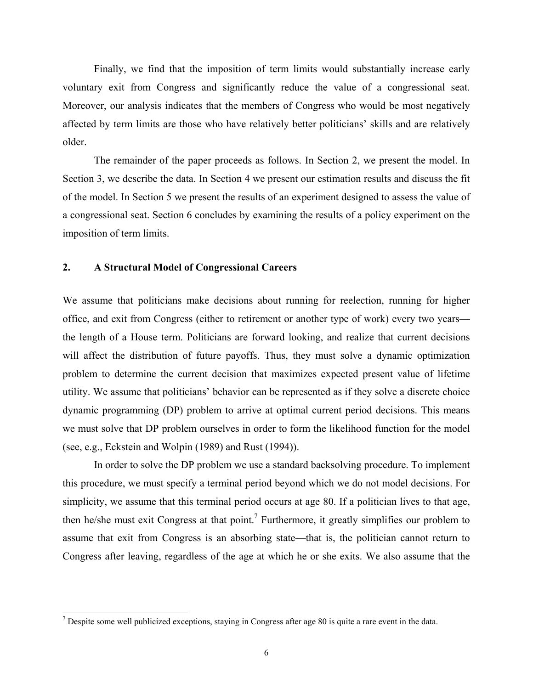Finally, we find that the imposition of term limits would substantially increase early voluntary exit from Congress and significantly reduce the value of a congressional seat. Moreover, our analysis indicates that the members of Congress who would be most negatively affected by term limits are those who have relatively better politicians' skills and are relatively older.

The remainder of the paper proceeds as follows. In Section 2, we present the model. In Section 3, we describe the data. In Section 4 we present our estimation results and discuss the fit of the model. In Section 5 we present the results of an experiment designed to assess the value of a congressional seat. Section 6 concludes by examining the results of a policy experiment on the imposition of term limits.

## **2. A Structural Model of Congressional Careers**

 $\overline{a}$ 

We assume that politicians make decisions about running for reelection, running for higher office, and exit from Congress (either to retirement or another type of work) every two years the length of a House term. Politicians are forward looking, and realize that current decisions will affect the distribution of future payoffs. Thus, they must solve a dynamic optimization problem to determine the current decision that maximizes expected present value of lifetime utility. We assume that politicians' behavior can be represented as if they solve a discrete choice dynamic programming (DP) problem to arrive at optimal current period decisions. This means we must solve that DP problem ourselves in order to form the likelihood function for the model (see, e.g., Eckstein and Wolpin (1989) and Rust (1994)).

In order to solve the DP problem we use a standard backsolving procedure. To implement this procedure, we must specify a terminal period beyond which we do not model decisions. For simplicity, we assume that this terminal period occurs at age 80. If a politician lives to that age, then he/she must exit Congress at that point.<sup>7</sup> Furthermore, it greatly simplifies our problem to assume that exit from Congress is an absorbing state—that is, the politician cannot return to Congress after leaving, regardless of the age at which he or she exits. We also assume that the

 $<sup>7</sup>$  Despite some well publicized exceptions, staying in Congress after age 80 is quite a rare event in the data.</sup>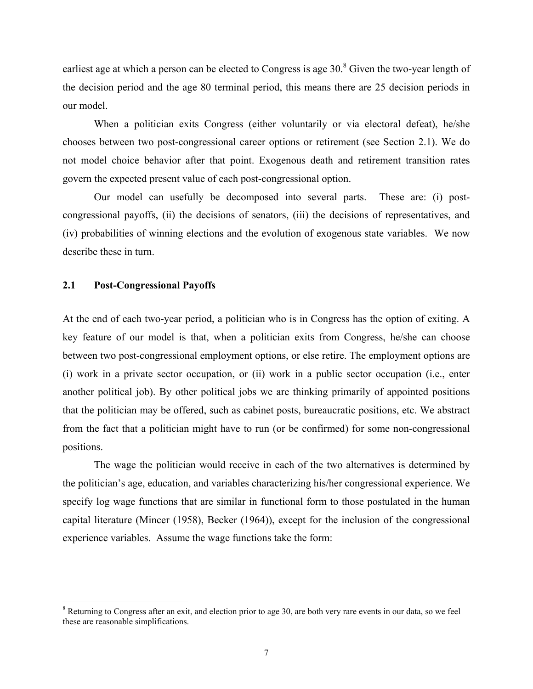earliest age at which a person can be elected to Congress is age  $30.8$  Given the two-year length of the decision period and the age 80 terminal period, this means there are 25 decision periods in our model.

When a politician exits Congress (either voluntarily or via electoral defeat), he/she chooses between two post-congressional career options or retirement (see Section 2.1). We do not model choice behavior after that point. Exogenous death and retirement transition rates govern the expected present value of each post-congressional option.

Our model can usefully be decomposed into several parts. These are: (i) postcongressional payoffs, (ii) the decisions of senators, (iii) the decisions of representatives, and (iv) probabilities of winning elections and the evolution of exogenous state variables. We now describe these in turn.

### **2.1 Post-Congressional Payoffs**

 $\overline{a}$ 

At the end of each two-year period, a politician who is in Congress has the option of exiting. A key feature of our model is that, when a politician exits from Congress, he/she can choose between two post-congressional employment options, or else retire. The employment options are (i) work in a private sector occupation, or (ii) work in a public sector occupation (i.e., enter another political job). By other political jobs we are thinking primarily of appointed positions that the politician may be offered, such as cabinet posts, bureaucratic positions, etc. We abstract from the fact that a politician might have to run (or be confirmed) for some non-congressional positions.

The wage the politician would receive in each of the two alternatives is determined by the politician's age, education, and variables characterizing his/her congressional experience. We specify log wage functions that are similar in functional form to those postulated in the human capital literature (Mincer (1958), Becker (1964)), except for the inclusion of the congressional experience variables. Assume the wage functions take the form:

 $8$  Returning to Congress after an exit, and election prior to age 30, are both very rare events in our data, so we feel these are reasonable simplifications.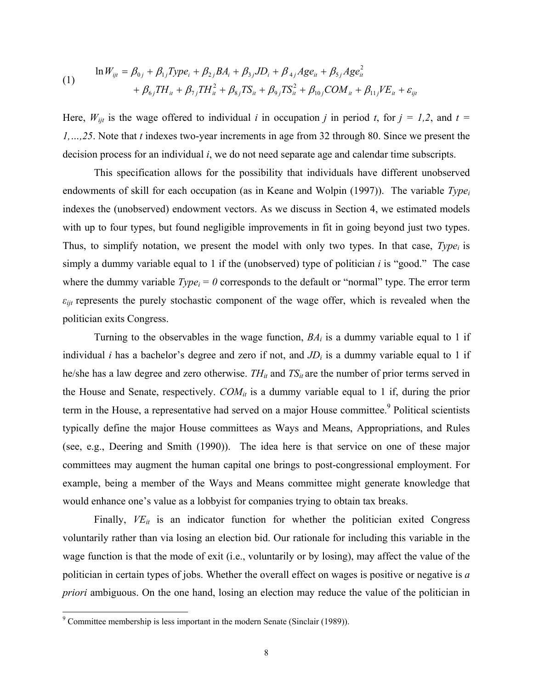(1) 
$$
\ln W_{ijt} = \beta_{0j} + \beta_{1j} Type_i + \beta_{2j} BA_i + \beta_{3j} JD_i + \beta_{4j} Age_{it} + \beta_{5j} Age_{it}^2 + \beta_{6j} TH_{it} + \beta_{7j} TH_{it}^2 + \beta_{8j} TS_{it} + \beta_{9j} TS_{it}^2 + \beta_{10j} COM_{it} + \beta_{11j} VE_{it} + \varepsilon_{ijt}
$$

Here,  $W_{ijt}$  is the wage offered to individual *i* in occupation *j* in period *t*, for  $j = 1,2$ , and  $t =$ *1,…,25*. Note that *t* indexes two-year increments in age from 32 through 80. Since we present the decision process for an individual *i*, we do not need separate age and calendar time subscripts.

This specification allows for the possibility that individuals have different unobserved endowments of skill for each occupation (as in Keane and Wolpin (1997)). The variable *Type<sub>i</sub>* indexes the (unobserved) endowment vectors. As we discuss in Section 4, we estimated models with up to four types, but found negligible improvements in fit in going beyond just two types. Thus, to simplify notation, we present the model with only two types. In that case,  $Type_i$  is simply a dummy variable equal to 1 if the (unobserved) type of politician *i* is "good." The case where the dummy variable  $Type_i = 0$  corresponds to the default or "normal" type. The error term *εijt* represents the purely stochastic component of the wage offer, which is revealed when the politician exits Congress.

Turning to the observables in the wage function,  $BA_i$  is a dummy variable equal to 1 if individual *i* has a bachelor's degree and zero if not, and  $JD_i$  is a dummy variable equal to 1 if he/she has a law degree and zero otherwise. *THit* and *TSit* are the number of prior terms served in the House and Senate, respectively.  $COM_{it}$  is a dummy variable equal to 1 if, during the prior term in the House, a representative had served on a major House committee.<sup>9</sup> Political scientists typically define the major House committees as Ways and Means, Appropriations, and Rules (see, e.g., Deering and Smith (1990)). The idea here is that service on one of these major committees may augment the human capital one brings to post-congressional employment. For example, being a member of the Ways and Means committee might generate knowledge that would enhance one's value as a lobbyist for companies trying to obtain tax breaks.

Finally,  $VE_{it}$  is an indicator function for whether the politician exited Congress voluntarily rather than via losing an election bid. Our rationale for including this variable in the wage function is that the mode of exit (i.e., voluntarily or by losing), may affect the value of the politician in certain types of jobs. Whether the overall effect on wages is positive or negative is *a priori* ambiguous. On the one hand, losing an election may reduce the value of the politician in

<sup>&</sup>lt;sup>9</sup> Committee membership is less important in the modern Senate (Sinclair (1989)).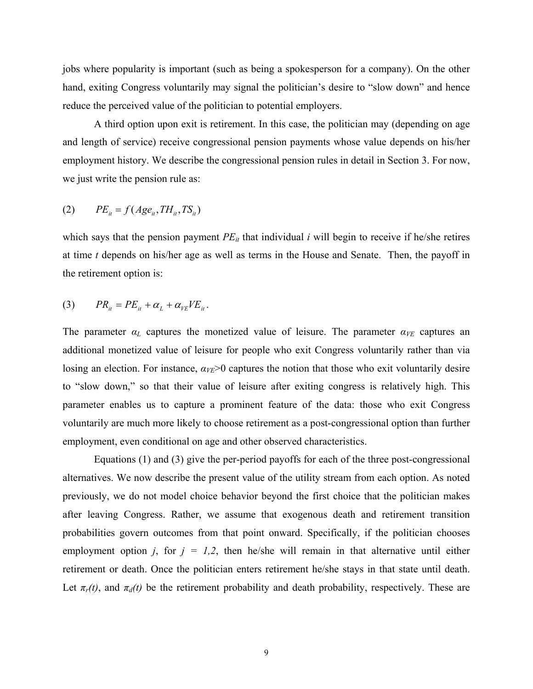jobs where popularity is important (such as being a spokesperson for a company). On the other hand, exiting Congress voluntarily may signal the politician's desire to "slow down" and hence reduce the perceived value of the politician to potential employers.

A third option upon exit is retirement. In this case, the politician may (depending on age and length of service) receive congressional pension payments whose value depends on his/her employment history. We describe the congressional pension rules in detail in Section 3. For now, we just write the pension rule as:

$$
(2) \tPE_{it} = f(Age_{it}, TH_{it}, TS_{it})
$$

which says that the pension payment  $PE_{it}$  that individual *i* will begin to receive if he/she retires at time *t* depends on his/her age as well as terms in the House and Senate. Then, the payoff in the retirement option is:

$$
(3) \qquad PR_{it} = PE_{it} + \alpha_L + \alpha_{VE}VE_{it}.
$$

The parameter  $\alpha_L$  captures the monetized value of leisure. The parameter  $\alpha_{VE}$  captures an additional monetized value of leisure for people who exit Congress voluntarily rather than via losing an election. For instance,  $α<sub>VE</sub> > 0$  captures the notion that those who exit voluntarily desire to "slow down," so that their value of leisure after exiting congress is relatively high. This parameter enables us to capture a prominent feature of the data: those who exit Congress voluntarily are much more likely to choose retirement as a post-congressional option than further employment, even conditional on age and other observed characteristics.

Equations (1) and (3) give the per-period payoffs for each of the three post-congressional alternatives. We now describe the present value of the utility stream from each option. As noted previously, we do not model choice behavior beyond the first choice that the politician makes after leaving Congress. Rather, we assume that exogenous death and retirement transition probabilities govern outcomes from that point onward. Specifically, if the politician chooses employment option  $j$ , for  $j = 1,2$ , then he/she will remain in that alternative until either retirement or death. Once the politician enters retirement he/she stays in that state until death. Let  $\pi_r(t)$ , and  $\pi_d(t)$  be the retirement probability and death probability, respectively. These are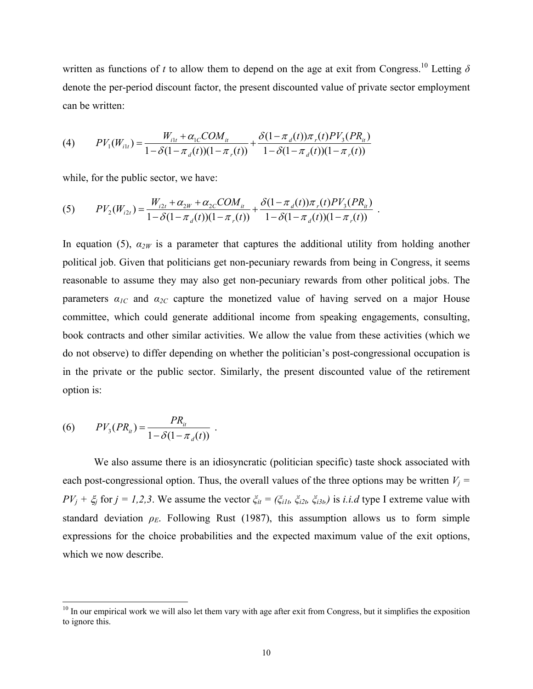written as functions of *t* to allow them to depend on the age at exit from Congress.<sup>10</sup> Letting  $\delta$ denote the per-period discount factor, the present discounted value of private sector employment can be written:

(4) 
$$
PV_1(W_{i1t}) = \frac{W_{i1t} + \alpha_{1C}COM_{it}}{1 - \delta(1 - \pi_d(t))(1 - \pi_r(t))} + \frac{\delta(1 - \pi_d(t))\pi_r(t)PV_3(PR_{it})}{1 - \delta(1 - \pi_d(t))(1 - \pi_r(t))}
$$

while, for the public sector, we have:

(5) 
$$
PV_2(W_{i2t}) = \frac{W_{i2t} + \alpha_{2W} + \alpha_{2C}COM_{it}}{1 - \delta(1 - \pi_d(t))(1 - \pi_r(t))} + \frac{\delta(1 - \pi_d(t))\pi_r(t)PV_3(PR_{it})}{1 - \delta(1 - \pi_d(t))(1 - \pi_r(t))}.
$$

In equation (5),  $\alpha_{2W}$  is a parameter that captures the additional utility from holding another political job. Given that politicians get non-pecuniary rewards from being in Congress, it seems reasonable to assume they may also get non-pecuniary rewards from other political jobs. The parameters  $\alpha_{1C}$  and  $\alpha_{2C}$  capture the monetized value of having served on a major House committee, which could generate additional income from speaking engagements, consulting, book contracts and other similar activities. We allow the value from these activities (which we do not observe) to differ depending on whether the politician's post-congressional occupation is in the private or the public sector. Similarly, the present discounted value of the retirement option is:

(6) 
$$
PV_3(PR_{ii}) = \frac{PR_{ii}}{1 - \delta(1 - \pi_d(t))}.
$$

 $\overline{a}$ 

We also assume there is an idiosyncratic (politician specific) taste shock associated with each post-congressional option. Thus, the overall values of the three options may be written  $V_j$  =  $PV_j + \xi_j$  for  $j = 1,2,3$ . We assume the vector  $\xi_{it} = (\xi_{itb}, \xi_{i2b}, \xi_{i3b})$  is *i.i.d* type I extreme value with standard deviation  $\rho_E$ . Following Rust (1987), this assumption allows us to form simple expressions for the choice probabilities and the expected maximum value of the exit options, which we now describe.

 $10$  In our empirical work we will also let them vary with age after exit from Congress, but it simplifies the exposition to ignore this.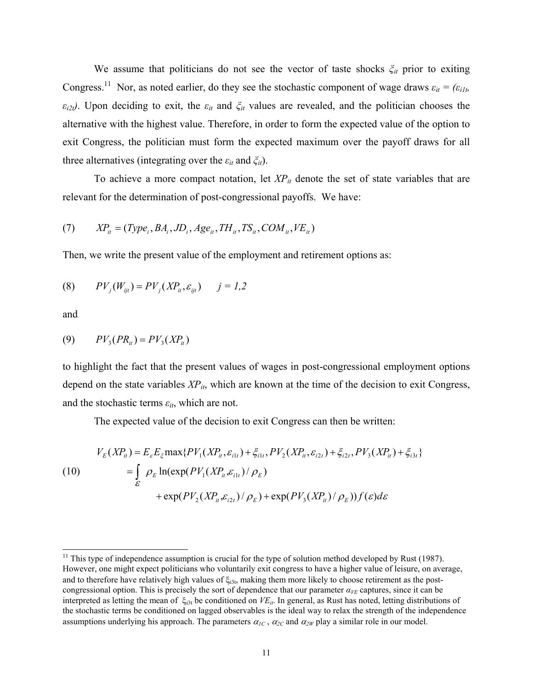We assume that politicians do not see the vector of taste shocks *ξit* prior to exiting Congress.<sup>11</sup> Nor, as noted earlier, do they see the stochastic component of wage draws  $\varepsilon_{it} = (\varepsilon_{ilb})$ *εi2t)*. Upon deciding to exit, the *εit* and *ξit* values are revealed, and the politician chooses the alternative with the highest value. Therefore, in order to form the expected value of the option to exit Congress, the politician must form the expected maximum over the payoff draws for all three alternatives (integrating over the  $\varepsilon_{it}$  and  $\zeta_{it}$ ).

To achieve a more compact notation, let  $XP_{it}$  denote the set of state variables that are relevant for the determination of post-congressional payoffs. We have:

$$
(7) \qquad XP_{ii} = (Type_i, BA_i, JD_i, Age_{ii}, TH_{ii}, TS_{ii}, COM_{ii}, VE_{ii})
$$

Then, we write the present value of the employment and retirement options as:

(8) 
$$
PV_j(W_{ijt}) = PV_j(XP_{it}, \varepsilon_{ijt})
$$
  $j = 1,2$ 

and

 $\overline{a}$ 

$$
(9) \tPV_3(PR_{it}) = PV_3(XP_{it})
$$

to highlight the fact that the present values of wages in post-congressional employment options depend on the state variables *XPit*, which are known at the time of the decision to exit Congress, and the stochastic terms  $\varepsilon_{it}$ , which are not.

The expected value of the decision to exit Congress can then be written:

(10)  
\n
$$
V_{E}(XP_{it}) = E_{\varepsilon}E_{\xi} \max\{PV_{1}(XP_{it}, \varepsilon_{i1t}) + \xi_{i1t}, PV_{2}(XP_{it}, \varepsilon_{i2t}) + \xi_{i2t}, PV_{3}(XP_{it}) + \xi_{i3t}\}
$$
\n
$$
= \int_{\varepsilon} \rho_{E} \ln(\exp(PV_{1}(XP_{it}, \varepsilon_{i1t}) / \rho_{E}) + \exp(PV_{3}(XP_{it}) / \rho_{E}))f(\varepsilon)d\varepsilon
$$

 $11$  This type of independence assumption is crucial for the type of solution method developed by Rust (1987). However, one might expect politicians who voluntarily exit congress to have a higher value of leisure, on average, and to therefore have relatively high values of  $\xi_{i3t}$ , making them more likely to choose retirement as the postcongressional option. This is precisely the sort of dependence that our parameter  $a_{V_E}$  captures, since it can be interpreted as letting the mean of ξi3t be conditioned on *VEit*. In general, as Rust has noted, letting distributions of the stochastic terms be conditioned on lagged observables is the ideal way to relax the strength of the independence assumptions underlying his approach. The parameters  $\alpha_{1C}$ ,  $\alpha_{2C}$  and  $\alpha_{2W}$  play a similar role in our model.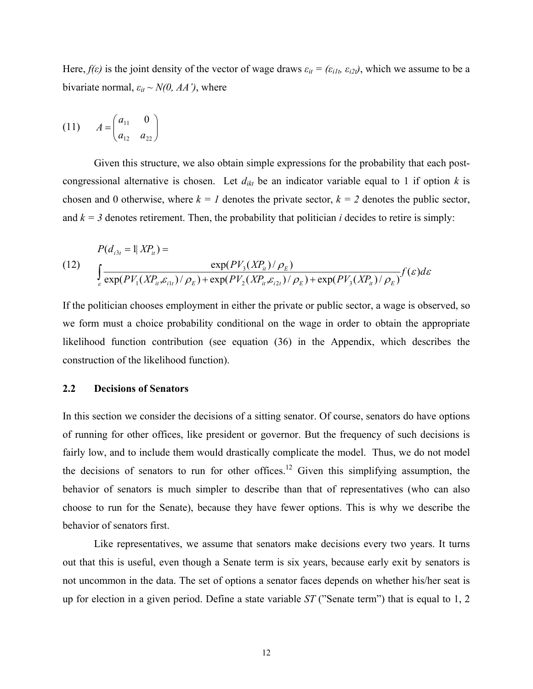Here,  $f(\varepsilon)$  is the joint density of the vector of wage draws  $\varepsilon_{it} = (\varepsilon_{i1t}, \varepsilon_{i2t})$ , which we assume to be a bivariate normal,  $\varepsilon_{it} \sim N(0, AA')$ , where

(11) 
$$
A = \begin{pmatrix} a_{11} & 0 \\ a_{12} & a_{22} \end{pmatrix}
$$

 Given this structure, we also obtain simple expressions for the probability that each postcongressional alternative is chosen. Let  $d_{ikt}$  be an indicator variable equal to 1 if option  $k$  is chosen and 0 otherwise, where  $k = 1$  denotes the private sector,  $k = 2$  denotes the public sector, and  $k = 3$  denotes retirement. Then, the probability that politician *i* decides to retire is simply:

(12) 
$$
P(d_{i3t} = 1 | XP_{it}) = \frac{\exp(PV_3(XP_{it}) / \rho_E)}{\int_{\varepsilon} \exp(PV_1(XP_{it}, \varepsilon_{i1t}) / \rho_E) + \exp(PV_2(XP_{it}, \varepsilon_{i2t}) / \rho_E) + \exp(PV_3(XP_{it}) / \rho_E)} f(\varepsilon) d\varepsilon
$$

If the politician chooses employment in either the private or public sector, a wage is observed, so we form must a choice probability conditional on the wage in order to obtain the appropriate likelihood function contribution (see equation (36) in the Appendix, which describes the construction of the likelihood function).

#### **2.2 Decisions of Senators**

In this section we consider the decisions of a sitting senator. Of course, senators do have options of running for other offices, like president or governor. But the frequency of such decisions is fairly low, and to include them would drastically complicate the model. Thus, we do not model the decisions of senators to run for other offices.<sup>12</sup> Given this simplifying assumption, the behavior of senators is much simpler to describe than that of representatives (who can also choose to run for the Senate), because they have fewer options. This is why we describe the behavior of senators first.

 Like representatives, we assume that senators make decisions every two years. It turns out that this is useful, even though a Senate term is six years, because early exit by senators is not uncommon in the data. The set of options a senator faces depends on whether his/her seat is up for election in a given period. Define a state variable *ST* ("Senate term") that is equal to 1, 2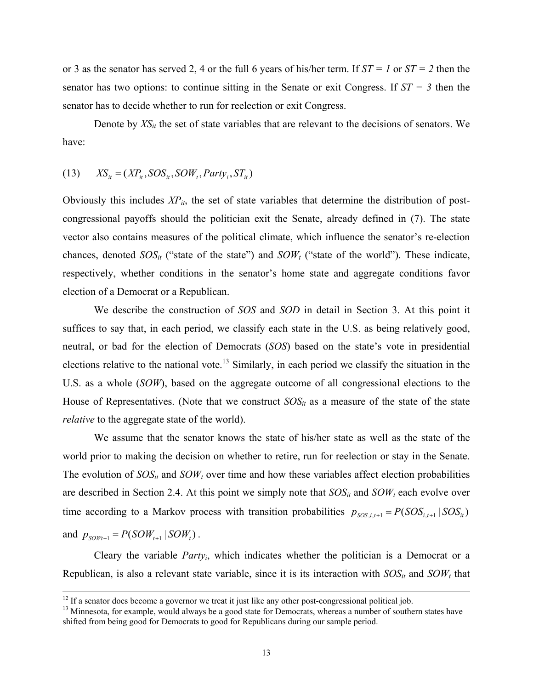or 3 as the senator has served 2, 4 or the full 6 years of his/her term. If *ST = 1* or *ST = 2* then the senator has two options: to continue sitting in the Senate or exit Congress. If *ST = 3* then the senator has to decide whether to run for reelection or exit Congress.

Denote by  $XS_{it}$  the set of state variables that are relevant to the decisions of senators. We have:

 $(XS_i = (XP_i, SOS_i, SOM_t, Party_i,ST_t)$ 

Obviously this includes  $XP_{it}$ , the set of state variables that determine the distribution of postcongressional payoffs should the politician exit the Senate, already defined in (7). The state vector also contains measures of the political climate, which influence the senator's re-election chances, denoted  $SOS_{it}$  ("state of the state") and  $SOW_t$  ("state of the world"). These indicate, respectively, whether conditions in the senator's home state and aggregate conditions favor election of a Democrat or a Republican.

 We describe the construction of *SOS* and *SOD* in detail in Section 3. At this point it suffices to say that, in each period, we classify each state in the U.S. as being relatively good, neutral, or bad for the election of Democrats (*SOS*) based on the state's vote in presidential elections relative to the national vote.<sup>13</sup> Similarly, in each period we classify the situation in the U.S. as a whole (*SOW*), based on the aggregate outcome of all congressional elections to the House of Representatives. (Note that we construct  $SOS_{it}$  as a measure of the state of the state *relative* to the aggregate state of the world).

We assume that the senator knows the state of his/her state as well as the state of the world prior to making the decision on whether to retire, run for reelection or stay in the Senate. The evolution of  $SOS_{it}$  and  $SOW_t$  over time and how these variables affect election probabilities are described in Section 2.4. At this point we simply note that  $SOS_{it}$  and  $SOW_t$  each evolve over time according to a Markov process with transition probabilities  $p_{SOS,i,t+1} = P(SOS_{i,t+1} | SOS_{i})$ and  $p_{SOW_{t+1}} = P(SOW_{t+1} | SOW_{t})$ .

Cleary the variable *Partyi*, which indicates whether the politician is a Democrat or a Republican, is also a relevant state variable, since it is its interaction with  $SOS_{it}$  and  $SOW_t$  that

 $12$  If a senator does become a governor we treat it just like any other post-congressional political job.  $13$  Minnesota, for example, would always be a good state for Democrats, whereas a number of southern states have shifted from being good for Democrats to good for Republicans during our sample period.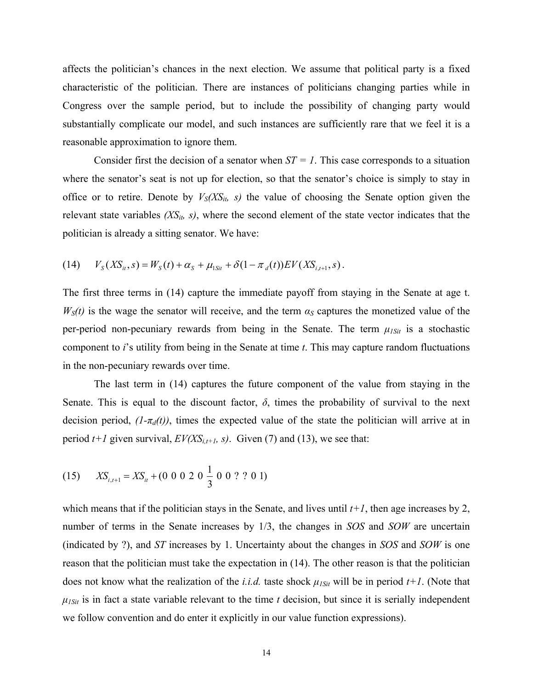affects the politician's chances in the next election. We assume that political party is a fixed characteristic of the politician. There are instances of politicians changing parties while in Congress over the sample period, but to include the possibility of changing party would substantially complicate our model, and such instances are sufficiently rare that we feel it is a reasonable approximation to ignore them.

Consider first the decision of a senator when  $ST = 1$ . This case corresponds to a situation where the senator's seat is not up for election, so that the senator's choice is simply to stay in office or to retire. Denote by  $V_S(XS_{it}, s)$  the value of choosing the Senate option given the relevant state variables  $(XS_{it}, s)$ , where the second element of the state vector indicates that the politician is already a sitting senator. We have:

(14) 
$$
V_{S}(X\mathbf{S}_{u}, \mathbf{s}) = W_{S}(t) + \alpha_{S} + \mu_{1\mathbf{S}u} + \delta(1 - \pi_{d}(t))EV(X\mathbf{S}_{i,t+1}, \mathbf{s}).
$$

The first three terms in (14) capture the immediate payoff from staying in the Senate at age t.  $W<sub>S</sub>(t)$  is the wage the senator will receive, and the term  $\alpha<sub>S</sub>$  captures the monetized value of the per-period non-pecuniary rewards from being in the Senate. The term  $\mu_{ISit}$  is a stochastic component to *i*'s utility from being in the Senate at time *t*. This may capture random fluctuations in the non-pecuniary rewards over time.

 The last term in (14) captures the future component of the value from staying in the Senate. This is equal to the discount factor,  $\delta$ , times the probability of survival to the next decision period,  $(I-\pi_d(t))$ , times the expected value of the state the politician will arrive at in period  $t+1$  given survival,  $EV(XS_{i,t+1}, s)$ . Given (7) and (13), we see that:

(15) 
$$
X\mathbf{S}_{i,t+1} = X\mathbf{S}_{it} + (0\ 0\ 0\ 2\ 0\ \frac{1}{3}\ 0\ 0\ ?\ ?\ 0\ 1)
$$

which means that if the politician stays in the Senate, and lives until  $t+1$ , then age increases by 2, number of terms in the Senate increases by 1/3, the changes in *SOS* and *SOW* are uncertain (indicated by ?), and *ST* increases by 1. Uncertainty about the changes in *SOS* and *SOW* is one reason that the politician must take the expectation in (14). The other reason is that the politician does not know what the realization of the *i.i.d.* taste shock  $\mu_{1Sit}$  will be in period  $t+1$ . (Note that  $\mu_{1\text{Sit}}$  is in fact a state variable relevant to the time *t* decision, but since it is serially independent we follow convention and do enter it explicitly in our value function expressions).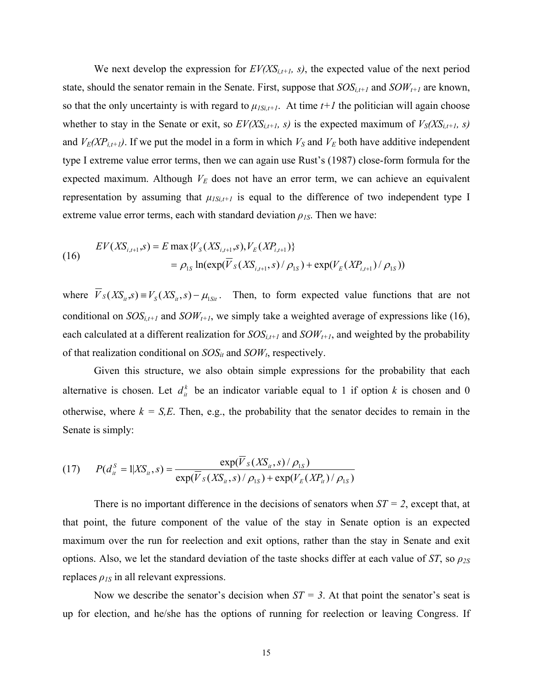We next develop the expression for  $EV(XS_{i,t+1}, s)$ , the expected value of the next period state, should the senator remain in the Senate. First, suppose that  $SOS_{i,t+1}$  and  $SOW_{t+1}$  are known, so that the only uncertainty is with regard to  $\mu_{1Si,t+1}$ . At time  $t+1$  the politician will again choose whether to stay in the Senate or exit, so  $EV(XS_{i,t+1}, s)$  is the expected maximum of  $V_S(XS_{i,t+1}, s)$ and  $V_E(XP_{i,t+1})$ . If we put the model in a form in which  $V_S$  and  $V_E$  both have additive independent type I extreme value error terms, then we can again use Rust's (1987) close-form formula for the expected maximum. Although  $V_E$  does not have an error term, we can achieve an equivalent representation by assuming that  $\mu_{ISi,t+1}$  is equal to the difference of two independent type I extreme value error terms, each with standard deviation  $\rho_{IS}$ . Then we have:

(16) 
$$
EV(XS_{i,t+1}, s) = E \max \{V_s(XS_{i,t+1}, s), V_E(XP_{i,t+1})\}
$$

$$
= \rho_{1s} \ln(\exp(\overline{V}_s(XS_{i,t+1}, s) / \rho_{1s}) + \exp(V_E(XP_{i,t+1}) / \rho_{1s}))
$$

where  $\overline{V}_S(XS_{ii}, s) = V_S(XS_{ii}, s) - \mu_{1Sii}$ . Then, to form expected value functions that are not conditional on  $SOS_{i,t+1}$  and  $SOW_{t+1}$ , we simply take a weighted average of expressions like (16), each calculated at a different realization for  $SOS_{i,t+1}$  and  $SOW_{t+1}$ , and weighted by the probability of that realization conditional on *SOSit* and *SOWt*, respectively.

 Given this structure, we also obtain simple expressions for the probability that each alternative is chosen. Let  $d_{ii}^k$  be an indicator variable equal to 1 if option *k* is chosen and 0 otherwise, where  $k = S.E$ . Then, e.g., the probability that the senator decides to remain in the Senate is simply:

(17) 
$$
P(d_{ii}^S = 1 | X S_{ii}, s) = \frac{\exp(V_S(X S_{ii}, s) / \rho_{1S})}{\exp(\overline{V}_S(X S_{ii}, s) / \rho_{1S}) + \exp(V_E(X P_{ii}) / \rho_{1S})}
$$

There is no important difference in the decisions of senators when  $ST = 2$ , except that, at that point, the future component of the value of the stay in Senate option is an expected maximum over the run for reelection and exit options, rather than the stay in Senate and exit options. Also, we let the standard deviation of the taste shocks differ at each value of *ST*, so *ρ2S* replaces  $\rho_{IS}$  in all relevant expressions.

Now we describe the senator's decision when  $ST = 3$ . At that point the senator's seat is up for election, and he/she has the options of running for reelection or leaving Congress. If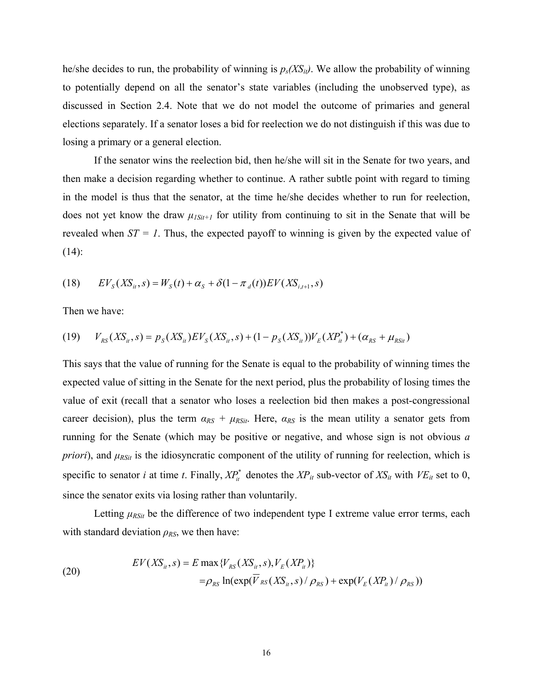he/she decides to run, the probability of winning is  $p_s(XS_{it})$ . We allow the probability of winning to potentially depend on all the senator's state variables (including the unobserved type), as discussed in Section 2.4. Note that we do not model the outcome of primaries and general elections separately. If a senator loses a bid for reelection we do not distinguish if this was due to losing a primary or a general election.

 If the senator wins the reelection bid, then he/she will sit in the Senate for two years, and then make a decision regarding whether to continue. A rather subtle point with regard to timing in the model is thus that the senator, at the time he/she decides whether to run for reelection, does not yet know the draw  $\mu_{1\text{Si}t+1}$  for utility from continuing to sit in the Senate that will be revealed when  $ST = 1$ . Thus, the expected payoff to winning is given by the expected value of  $(14)$ :

(18) 
$$
EV_{S}(XS_{it}, s) = W_{S}(t) + \alpha_{S} + \delta(1 - \pi_{d}(t))EV(XS_{i, t+1}, s)
$$

Then we have:

(19) 
$$
V_{RS}(XS_{ii}, s) = p_S(XS_{ii})EV_S(XS_{ii}, s) + (1 - p_S(XS_{ii}))V_E(XP_{ii}^*) + (\alpha_{RS} + \mu_{RSti})
$$

This says that the value of running for the Senate is equal to the probability of winning times the expected value of sitting in the Senate for the next period, plus the probability of losing times the value of exit (recall that a senator who loses a reelection bid then makes a post-congressional career decision), plus the term  $\alpha_{RS} + \mu_{RSit}$ . Here,  $\alpha_{RS}$  is the mean utility a senator gets from running for the Senate (which may be positive or negative, and whose sign is not obvious *a priori*), and  $\mu_{RSt}$  is the idiosyncratic component of the utility of running for reelection, which is specific to senator *i* at time *t*. Finally,  $XP_{it}^{*}$  denotes the  $XP_{it}$  sub-vector of  $XS_{it}$  with  $VE_{it}$  set to 0, since the senator exits via losing rather than voluntarily.

Letting  $\mu_{RSt}$  be the difference of two independent type I extreme value error terms, each with standard deviation  $\rho_{RS}$ , we then have:

(20) 
$$
EV(XS_{it}, s) = E \max \{V_{RS}(XS_{it}, s), V_{E}(XP_{it})\}
$$

$$
= \rho_{RS} \ln(\exp(\overline{V}_{RS}(XS_{it}, s) / \rho_{RS}) + \exp(V_{E}(XP_{it}) / \rho_{RS}))
$$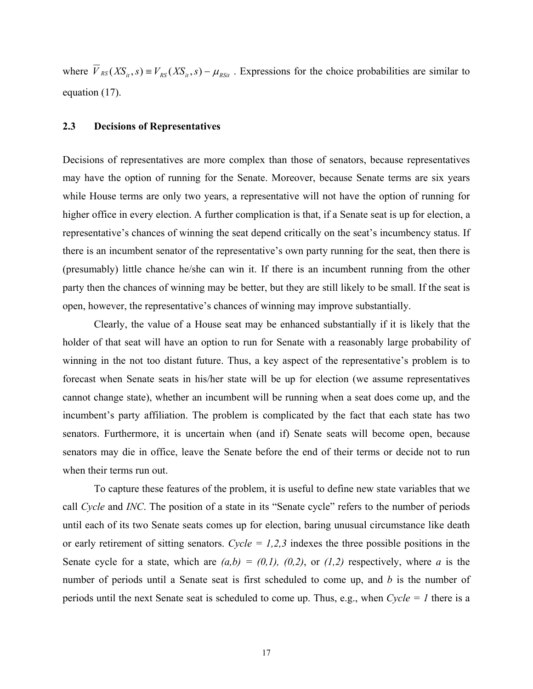where  $\overline{V}_{RS}(XS_{it}, s) = V_{RS}(XS_{it}, s) - \mu_{RSI}$ . Expressions for the choice probabilities are similar to equation (17).

## **2.3 Decisions of Representatives**

Decisions of representatives are more complex than those of senators, because representatives may have the option of running for the Senate. Moreover, because Senate terms are six years while House terms are only two years, a representative will not have the option of running for higher office in every election. A further complication is that, if a Senate seat is up for election, a representative's chances of winning the seat depend critically on the seat's incumbency status. If there is an incumbent senator of the representative's own party running for the seat, then there is (presumably) little chance he/she can win it. If there is an incumbent running from the other party then the chances of winning may be better, but they are still likely to be small. If the seat is open, however, the representative's chances of winning may improve substantially.

Clearly, the value of a House seat may be enhanced substantially if it is likely that the holder of that seat will have an option to run for Senate with a reasonably large probability of winning in the not too distant future. Thus, a key aspect of the representative's problem is to forecast when Senate seats in his/her state will be up for election (we assume representatives cannot change state), whether an incumbent will be running when a seat does come up, and the incumbent's party affiliation. The problem is complicated by the fact that each state has two senators. Furthermore, it is uncertain when (and if) Senate seats will become open, because senators may die in office, leave the Senate before the end of their terms or decide not to run when their terms run out.

 To capture these features of the problem, it is useful to define new state variables that we call *Cycle* and *INC*. The position of a state in its "Senate cycle" refers to the number of periods until each of its two Senate seats comes up for election, baring unusual circumstance like death or early retirement of sitting senators. *Cycle = 1,2,3* indexes the three possible positions in the Senate cycle for a state, which are  $(a,b) = (0,1)$ ,  $(0,2)$ , or  $(1,2)$  respectively, where *a* is the number of periods until a Senate seat is first scheduled to come up, and *b* is the number of periods until the next Senate seat is scheduled to come up. Thus, e.g., when *Cycle = 1* there is a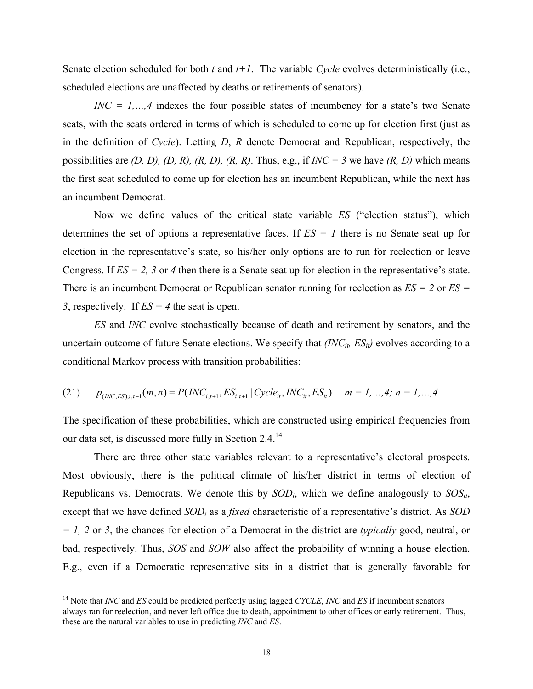Senate election scheduled for both *t* and *t+1*. The variable *Cycle* evolves deterministically (i.e., scheduled elections are unaffected by deaths or retirements of senators).

 $INC = 1, \ldots, 4$  indexes the four possible states of incumbency for a state's two Senate seats, with the seats ordered in terms of which is scheduled to come up for election first (just as in the definition of *Cycle*). Letting *D*, *R* denote Democrat and Republican, respectively, the possibilities are *(D, D), (D, R), (R, D), (R, R)*. Thus, e.g., if *INC = 3* we have *(R, D)* which means the first seat scheduled to come up for election has an incumbent Republican, while the next has an incumbent Democrat.

 Now we define values of the critical state variable *ES* ("election status"), which determines the set of options a representative faces. If *ES = 1* there is no Senate seat up for election in the representative's state, so his/her only options are to run for reelection or leave Congress. If  $ES = 2$ , 3 or 4 then there is a Senate seat up for election in the representative's state. There is an incumbent Democrat or Republican senator running for reelection as *ES = 2* or *ES = 3*, respectively. If *ES = 4* the seat is open.

*ES* and *INC* evolve stochastically because of death and retirement by senators, and the uncertain outcome of future Senate elections. We specify that  $(INC_{it}, ES_{it})$  evolves according to a conditional Markov process with transition probabilities:

$$
(21) \qquad p_{(INC, ES), i, t+1}(m, n) = P(INC_{i, t+1}, ES_{i, t+1} | Cycle_{it}, INC_{it}, ES_{it}) \qquad m = 1, ..., 4; n = 1, ..., 4
$$

The specification of these probabilities, which are constructed using empirical frequencies from our data set, is discussed more fully in Section 2.4.14

There are three other state variables relevant to a representative's electoral prospects. Most obviously, there is the political climate of his/her district in terms of election of Republicans vs. Democrats. We denote this by *SODi*, which we define analogously to *SOSit*, except that we have defined *SODi* as a *fixed* characteristic of a representative's district. As *SOD = 1, 2* or *3*, the chances for election of a Democrat in the district are *typically* good, neutral, or bad, respectively. Thus, *SOS* and *SOW* also affect the probability of winning a house election. E.g., even if a Democratic representative sits in a district that is generally favorable for

<sup>14</sup> Note that *INC* and *ES* could be predicted perfectly using lagged *CYCLE*, *INC* and *ES* if incumbent senators always ran for reelection, and never left office due to death, appointment to other offices or early retirement. Thus, these are the natural variables to use in predicting *INC* and *ES*.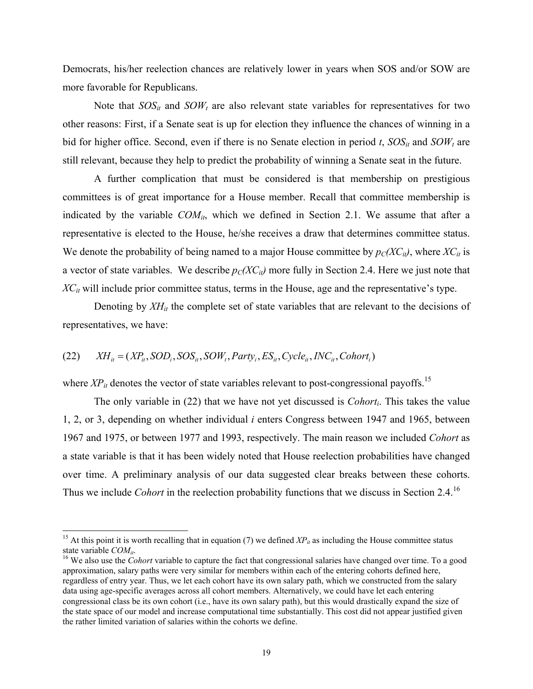Democrats, his/her reelection chances are relatively lower in years when SOS and/or SOW are more favorable for Republicans.

Note that  $SOS_{it}$  and  $SOW_t$  are also relevant state variables for representatives for two other reasons: First, if a Senate seat is up for election they influence the chances of winning in a bid for higher office. Second, even if there is no Senate election in period *t*,  $SOS_{it}$  and  $SOW_t$  are still relevant, because they help to predict the probability of winning a Senate seat in the future.

A further complication that must be considered is that membership on prestigious committees is of great importance for a House member. Recall that committee membership is indicated by the variable  $COM_{it}$ , which we defined in Section 2.1. We assume that after a representative is elected to the House, he/she receives a draw that determines committee status. We denote the probability of being named to a major House committee by  $p_C(XC_{ii})$ , where  $XC_{it}$  is a vector of state variables. We describe  $p_C(XC_{ii})$  more fully in Section 2.4. Here we just note that  $XC_{it}$  will include prior committee status, terms in the House, age and the representative's type.

Denoting by  $XH_{it}$  the complete set of state variables that are relevant to the decisions of representatives, we have:

## (22)  $XH_{it} = (XP_{it}, SOD_i, SOS_{it}, SOW_t, Party_i, ES_{it}, Cycle_{it}, INC_{it}, Cohort_i)$

 $\overline{a}$ 

where  $XP_{it}$  denotes the vector of state variables relevant to post-congressional payoffs.<sup>15</sup>

The only variable in (22) that we have not yet discussed is *Cohorti*. This takes the value 1, 2, or 3, depending on whether individual *i* enters Congress between 1947 and 1965, between 1967 and 1975, or between 1977 and 1993, respectively. The main reason we included *Cohort* as a state variable is that it has been widely noted that House reelection probabilities have changed over time. A preliminary analysis of our data suggested clear breaks between these cohorts. Thus we include *Cohort* in the reelection probability functions that we discuss in Section 2.4.<sup>16</sup>

<sup>&</sup>lt;sup>15</sup> At this point it is worth recalling that in equation (7) we defined  $XP_{it}$  as including the House committee status state variable *COM<sub>it</sub>*.<br><sup>16</sup> We also use the *Cohort* variable to capture the fact that congressional salaries have changed over time. To a good

approximation, salary paths were very similar for members within each of the entering cohorts defined here, regardless of entry year. Thus, we let each cohort have its own salary path, which we constructed from the salary data using age-specific averages across all cohort members. Alternatively, we could have let each entering congressional class be its own cohort (i.e., have its own salary path), but this would drastically expand the size of the state space of our model and increase computational time substantially. This cost did not appear justified given the rather limited variation of salaries within the cohorts we define.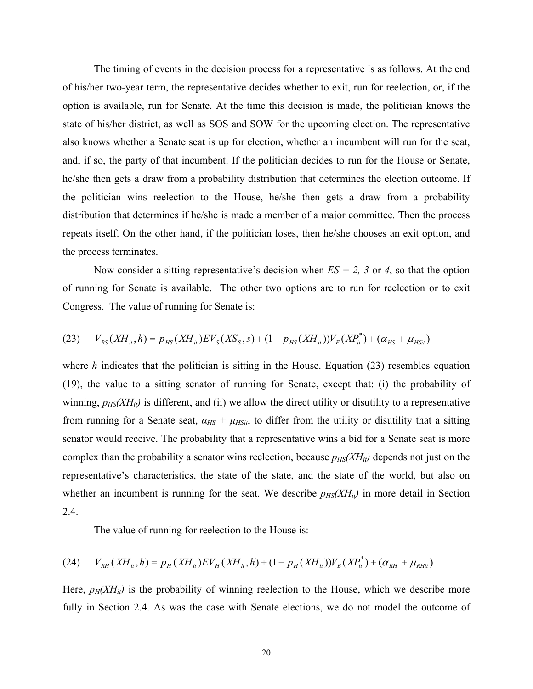The timing of events in the decision process for a representative is as follows. At the end of his/her two-year term, the representative decides whether to exit, run for reelection, or, if the option is available, run for Senate. At the time this decision is made, the politician knows the state of his/her district, as well as SOS and SOW for the upcoming election. The representative also knows whether a Senate seat is up for election, whether an incumbent will run for the seat, and, if so, the party of that incumbent. If the politician decides to run for the House or Senate, he/she then gets a draw from a probability distribution that determines the election outcome. If the politician wins reelection to the House, he/she then gets a draw from a probability distribution that determines if he/she is made a member of a major committee. Then the process repeats itself. On the other hand, if the politician loses, then he/she chooses an exit option, and the process terminates.

 Now consider a sitting representative's decision when *ES = 2, 3* or *4*, so that the option of running for Senate is available. The other two options are to run for reelection or to exit Congress. The value of running for Senate is:

(23) 
$$
V_{RS}(XH_{it}, h) = p_{HS}(XH_{it})EV_S(XS_S, s) + (1 - p_{HS}(XH_{it}))V_E(XP_{it}^*) + (\alpha_{HS} + \mu_{HSt})
$$

where *h* indicates that the politician is sitting in the House. Equation (23) resembles equation (19), the value to a sitting senator of running for Senate, except that: (i) the probability of winning,  $p_{H\text{S}}(XH_{it})$  is different, and (ii) we allow the direct utility or disutility to a representative from running for a Senate seat,  $\alpha_{H\text{S}} + \mu_{H\text{Sit}}$ , to differ from the utility or disutility that a sitting senator would receive. The probability that a representative wins a bid for a Senate seat is more complex than the probability a senator wins reelection, because  $p_{\text{HS}}(XH_{\text{it}})$  depends not just on the representative's characteristics, the state of the state, and the state of the world, but also on whether an incumbent is running for the seat. We describe  $p_{\text{HS}}(XH_{ii})$  in more detail in Section 2.4.

The value of running for reelection to the House is:

(24) 
$$
V_{RH}(XH_{it}, h) = p_H(XH_{it})EV_H(XH_{it}, h) + (1 - p_H(XH_{it}))V_E(XP_{it}^*) + (\alpha_{RH} + \mu_{RHit})
$$

Here,  $p_H(XH_{ii})$  is the probability of winning reelection to the House, which we describe more fully in Section 2.4. As was the case with Senate elections, we do not model the outcome of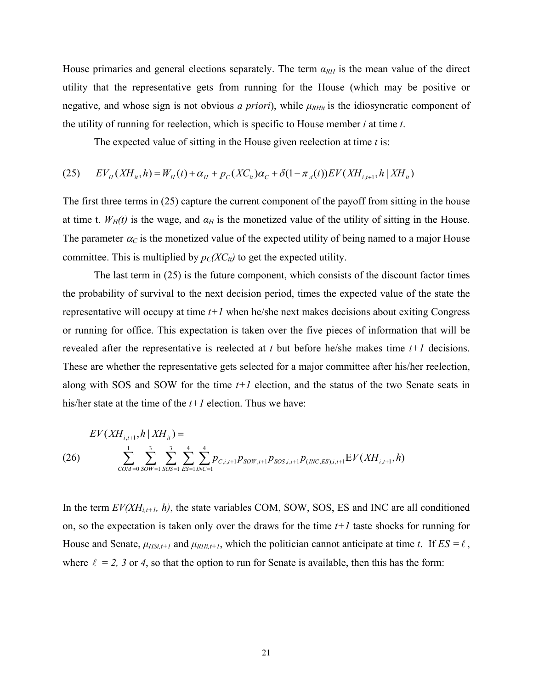House primaries and general elections separately. The term  $\alpha_{RH}$  is the mean value of the direct utility that the representative gets from running for the House (which may be positive or negative, and whose sign is not obvious *a priori*), while  $\mu_{RHit}$  is the idiosyncratic component of the utility of running for reelection, which is specific to House member *i* at time *t*.

The expected value of sitting in the House given reelection at time *t* is:

(25) 
$$
EV_{H}(XH_{u}, h) = W_{H}(t) + \alpha_{H} + p_{C}(XC_{u})\alpha_{C} + \delta(1 - \pi_{d}(t))EV(XH_{i, t+1}, h \mid XH_{u})
$$

The first three terms in (25) capture the current component of the payoff from sitting in the house at time t.  $W_H(t)$  is the wage, and  $\alpha_H$  is the monetized value of the utility of sitting in the House. The parameter  $\alpha_C$  is the monetized value of the expected utility of being named to a major House committee. This is multiplied by  $p_C(XC_{it})$  to get the expected utility.

The last term in (25) is the future component, which consists of the discount factor times the probability of survival to the next decision period, times the expected value of the state the representative will occupy at time *t+1* when he/she next makes decisions about exiting Congress or running for office. This expectation is taken over the five pieces of information that will be revealed after the representative is reelected at *t* but before he/she makes time *t+1* decisions. These are whether the representative gets selected for a major committee after his/her reelection, along with SOS and SOW for the time *t+1* election, and the status of the two Senate seats in his/her state at the time of the  $t+1$  election. Thus we have:

$$
EV(XH_{i,t+1}, h \mid XH_{it}) =
$$
\n
$$
(26)\qquad \qquad \sum_{COM=0}^{1} \sum_{SOW=1}^{3} \sum_{SOS=1}^{3} \sum_{ES=1}^{4} \sum_{INC=1}^{4} p_{C,i,t+1} p_{SOW,t+1} p_{SOS,i,t+1} p_{(INC,ES),i,t+1} EV(XH_{i,t+1}, h)
$$

In the term  $EV(XH_{i,t+1}, h)$ , the state variables COM, SOW, SOS, ES and INC are all conditioned on, so the expectation is taken only over the draws for the time *t+1* taste shocks for running for House and Senate,  $\mu_{H\{St,t+1\}}$  and  $\mu_{RH\{t,t+1\}}$ , which the politician cannot anticipate at time *t*. If  $ES = \ell$ , where  $\ell = 2$ , 3 or 4, so that the option to run for Senate is available, then this has the form: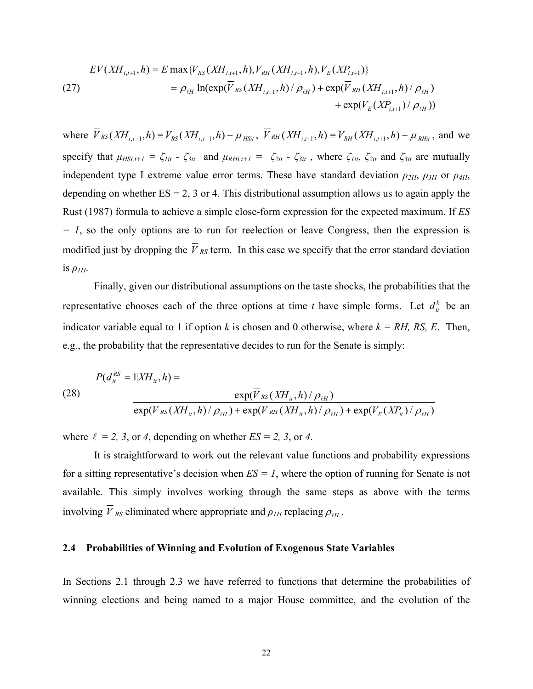$$
EV(XH_{i,t+1}, h) = E \max \{V_{RS}(XH_{i,t+1}, h), V_{RH}(XH_{i,t+1}, h), V_{E}(XP_{i,t+1})\}
$$
  
=  $\rho_{\ell H} \ln(\exp(\overline{V}_{RS}(XH_{i,t+1}, h) / \rho_{\ell H}) + \exp(\overline{V}_{RH}(XH_{i,t+1}, h) / \rho_{\ell H}) + \exp(V_{E}(XP_{i,t+1}) / \rho_{\ell H}))$ 

where  $\overline{V}_{RS}(XH_{i,t+1}, h) = V_{RS}(XH_{i,t+1}, h) - \mu_{HSt}$ ,  $\overline{V}_{RH}(XH_{i,t+1}, h) = V_{RH}(XH_{i,t+1}, h) - \mu_{RH}$ , and we specify that  $\mu_{HSi,t+1} = \zeta_{Iit} - \zeta_{3it}$  and  $\mu_{RHi,t+1} = \zeta_{2it} - \zeta_{3it}$ , where  $\zeta_{Iit}$ ,  $\zeta_{2it}$  and  $\zeta_{3it}$  are mutually independent type I extreme value error terms. These have standard deviation  $\rho_{2H}$ ,  $\rho_{3H}$  or  $\rho_{4H}$ , depending on whether  $ES = 2$ , 3 or 4. This distributional assumption allows us to again apply the Rust (1987) formula to achieve a simple close-form expression for the expected maximum. If *ES = 1*, so the only options are to run for reelection or leave Congress, then the expression is modified just by dropping the  $\overline{V}_{RS}$  term. In this case we specify that the error standard deviation is  $\rho_{IH}$ .

Finally, given our distributional assumptions on the taste shocks, the probabilities that the representative chooses each of the three options at time *t* have simple forms. Let  $d_h^k$  be an indicator variable equal to 1 if option  $k$  is chosen and 0 otherwise, where  $k = RH$ , RS, E. Then, e.g., the probability that the representative decides to run for the Senate is simply:

(28)  
\n
$$
P(d_{it}^{RS} = 1|XH_{it}, h) = \frac{\exp(\overline{V}_{RS}(XH_{it}, h) / \rho_{\ell H})}{\exp(\overline{V}_{RS}(XH_{it}, h) / \rho_{\ell H}) + \exp(\overline{V}_{RH}(XH_{it}, h) / \rho_{\ell H}) + \exp(V_{E}(XP_{it}) / \rho_{\ell H})}
$$

where  $\ell = 2$ , 3, or 4, depending on whether  $ES = 2$ , 3, or 4.

It is straightforward to work out the relevant value functions and probability expressions for a sitting representative's decision when  $ES = I$ , where the option of running for Senate is not available. This simply involves working through the same steps as above with the terms involving  $\overline{V}_{RS}$  eliminated where appropriate and  $\rho_{IH}$  replacing  $\rho_{IH}$ .

## **2.4 Probabilities of Winning and Evolution of Exogenous State Variables**

In Sections 2.1 through 2.3 we have referred to functions that determine the probabilities of winning elections and being named to a major House committee, and the evolution of the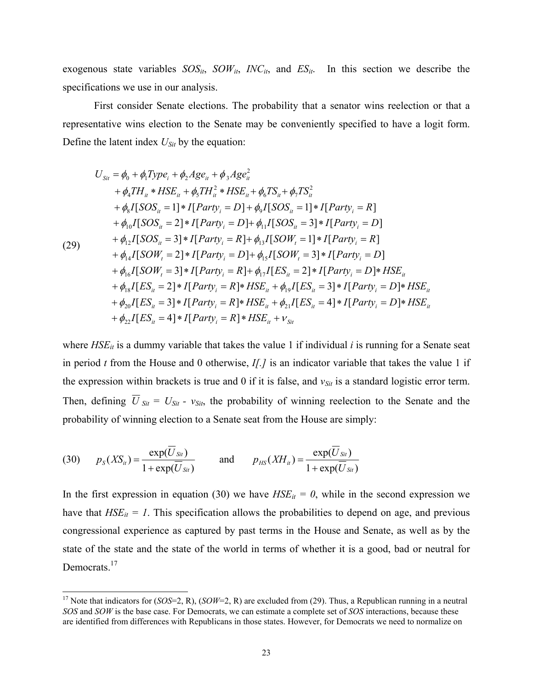exogenous state variables  $SOS_{it}$ ,  $SOW_{it}$ ,  $INC_{it}$ , and  $ES_{it}$ . In this section we describe the specifications we use in our analysis.

 First consider Senate elections. The probability that a senator wins reelection or that a representative wins election to the Senate may be conveniently specified to have a logit form. Define the latent index *USit* by the equation:

$$
U_{\text{Sit}} = \phi_0 + \phi_1 \text{Type}_i + \phi_2 A g e_{it} + \phi_3 A g e_{it}^2
$$
  
+  $\phi_4 \text{TH}_{it} * \text{HSE}_{it} + \phi_5 \text{TH}_{it}^2 * \text{HSE}_{it} + \phi_6 \text{TS}_{it} + \phi_7 \text{TS}_{it}^2$   
+  $\phi_8 \text{I} [\text{SOS}_{it} = 1] * \text{I} [\text{Party}_i = D] + \phi_9 \text{I} [\text{SOS}_{it} = 1] * \text{I} [\text{Party}_i = R]$   
+  $\phi_{10} \text{I} [\text{SOS}_{it} = 2] * \text{I} [\text{Party}_i = D] + \phi_{11} \text{I} [\text{SOS}_{it} = 3] * \text{I} [\text{Party}_i = D]$   
+  $\phi_{12} \text{I} [\text{SOS}_{it} = 3] * \text{I} [\text{Party}_i = R] + \phi_{13} \text{I} [\text{SOW}_i = 1] * \text{I} [\text{Party}_i = R]$   
+  $\phi_{14} \text{I} [\text{SOW}_i = 2] * \text{I} [\text{Party}_i = D] + \phi_{15} \text{I} [\text{SOW}_i = 3] * \text{I} [\text{Party}_i = D]$   
+  $\phi_{16} \text{I} [\text{SOW}_i = 3] * \text{I} [\text{Party}_i = R] + \phi_{17} \text{I} [\text{ES}_{it} = 2] * \text{I} [\text{Party}_i = D] * \text{HSE}_{it}$   
+  $\phi_{18} \text{I} [\text{ES}_{it} = 2] * \text{I} [\text{Party}_i = R] * \text{HSE}_{it} + \phi_{19} \text{I} [\text{ES}_{it} = 3] * \text{I} [\text{Party}_i = D] * \text{HSE}_{it}$   
+  $\phi_{20} \text{I} [\text{ES}_{it} = 3] * \text{I} [\text{Party}_i = R] * \text{HSE}_{it} + \phi_{21} \text{I} [\text{ES}_{it} = 4] * \text{I} [\text{Party}_i = D] * \text{HSE}_{it}$   
+  $\$ 

where  $HSE_{it}$  is a dummy variable that takes the value 1 if individual *i* is running for a Senate seat in period *t* from the House and 0 otherwise, *I[.]* is an indicator variable that takes the value 1 if the expression within brackets is true and 0 if it is false, and *νSit* is a standard logistic error term. Then, defining  $\overline{U}_{\text{Sit}} = U_{\text{Sit}}$  -  $v_{\text{Sit}}$ , the probability of winning reelection to the Senate and the probability of winning election to a Senate seat from the House are simply:

(30) 
$$
p_S(XS_{it}) = \frac{\exp(\overline{U}_{Sit})}{1 + \exp(\overline{U}_{Sit})}
$$
 and  $p_{HS}(XH_{it}) = \frac{\exp(\overline{U}_{Sit})}{1 + \exp(\overline{U}_{Sit})}$ 

 $\overline{a}$ 

In the first expression in equation (30) we have  $HSE_{it} = 0$ , while in the second expression we have that  $HSE_{it} = 1$ . This specification allows the probabilities to depend on age, and previous congressional experience as captured by past terms in the House and Senate, as well as by the state of the state and the state of the world in terms of whether it is a good, bad or neutral for Democrats.<sup>17</sup>

<sup>&</sup>lt;sup>17</sup> Note that indicators for  $(SOS=2, R)$ ,  $(SOW=2, R)$  are excluded from (29). Thus, a Republican running in a neutral *SOS* and *SOW* is the base case. For Democrats, we can estimate a complete set of *SOS* interactions, because these are identified from differences with Republicans in those states. However, for Democrats we need to normalize on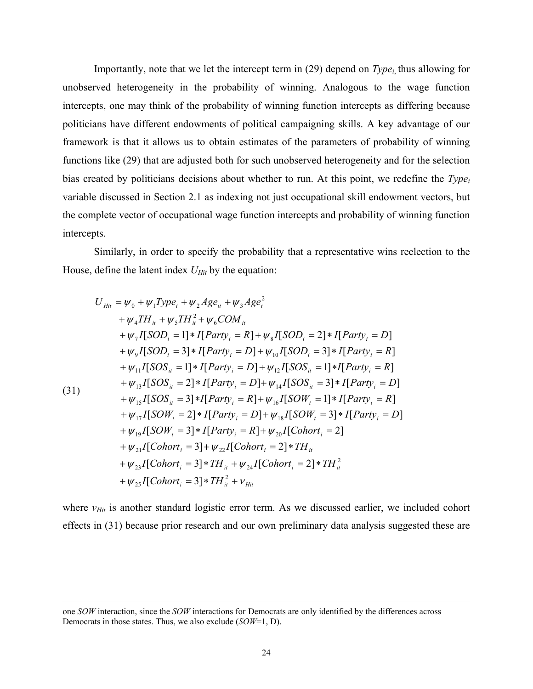Importantly, note that we let the intercept term in  $(29)$  depend on  $Type_i$  thus allowing for unobserved heterogeneity in the probability of winning. Analogous to the wage function intercepts, one may think of the probability of winning function intercepts as differing because politicians have different endowments of political campaigning skills. A key advantage of our framework is that it allows us to obtain estimates of the parameters of probability of winning functions like (29) that are adjusted both for such unobserved heterogeneity and for the selection bias created by politicians decisions about whether to run. At this point, we redefine the *Type<sub>i</sub>* variable discussed in Section 2.1 as indexing not just occupational skill endowment vectors, but the complete vector of occupational wage function intercepts and probability of winning function intercepts.

Similarly, in order to specify the probability that a representative wins reelection to the House, define the latent index  $U_{Hit}$  by the equation:

$$
U_{Hii} = \psi_0 + \psi_1 Type_i + \psi_2 Age_i + \psi_3 Age_i^2
$$
  
+  $\psi_4 TH_{it} + \psi_5 TH_{it}^2 + \psi_6 COM_{it}$   
+  $\psi_7 I[SOD_i = 1] * I[Party_i = R] + \psi_8 I[SOD_i = 2] * I[Party_i = D]$   
+  $\psi_9 I[SOD_i = 3] * I[Party_i = D] + \psi_{10} I[SOD_i = 3] * I[Party_i = R]$   
+  $\psi_{11} I[SOS_{it} = 1] * I[Party_i = D] + \psi_{12} I[SOS_{it} = 1] * I[Party_i = R]$   
+  $\psi_{13} I[SOS_{it} = 2] * I[Party_i = D] + \psi_{14} I[SOS_{it} = 3] * I[Party_i = D]$   
+  $\psi_{15} I[SOS_{it} = 3] * I[Party_i = R] + \psi_{16} I[SOW_t = 1] * I[Party_i = R]$   
+  $\psi_{17} I[SOW_t = 2] * I[Party_i = D] + \psi_{18} I[SOW_t = 3] * I[Party_i = D]$   
+  $\psi_{19} I[SOW_t = 3] * I[Party_i = R] + \psi_{20} I[Cohort_i = 2]$   
+  $\psi_{21} I[Cohort_i = 3] + \psi_{22} I[Cohort_i = 2] * TH_{it}$   
+  $\psi_{23} I[Cohort_i = 3] * TH_{it} + \psi_{24} I[Cohort_i = 2] * TH_{it}$   
+  $\psi_{25} I[Cohort_i = 3] * TH_{it}^2 + \nu_{Hit}$ 

where *νHit* is another standard logistic error term. As we discussed earlier, we included cohort effects in (31) because prior research and our own preliminary data analysis suggested these are

one *SOW* interaction, since the *SOW* interactions for Democrats are only identified by the differences across Democrats in those states. Thus, we also exclude (*SOW*=1, D).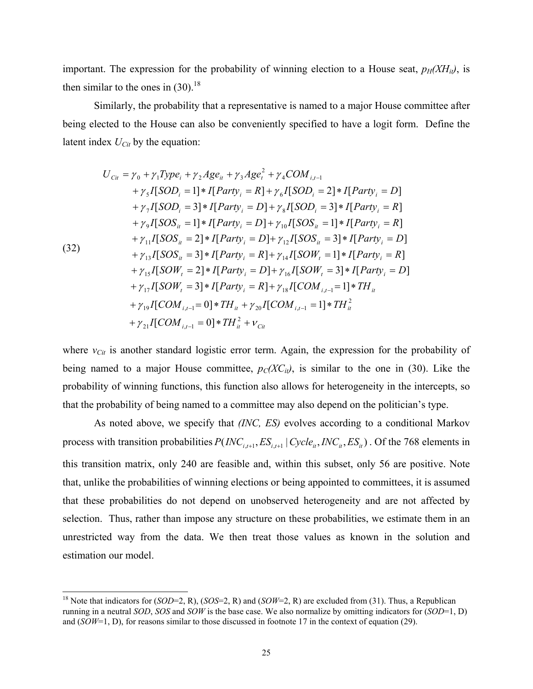important. The expression for the probability of winning election to a House seat,  $p_H(XH_{ii})$ , is then similar to the ones in  $(30)$ .<sup>18</sup>

Similarly, the probability that a representative is named to a major House committee after being elected to the House can also be conveniently specified to have a logit form. Define the latent index  $U_{\text{Cit}}$  by the equation:

$$
U_{\text{Cu}} = \gamma_0 + \gamma_1 \text{Type}_i + \gamma_2 \text{Age}_u + \gamma_3 \text{Age}_i^2 + \gamma_4 \text{COM}_{i,t-1} + \gamma_5 I[SOD_i = 1] * I[Party_i = R] + \gamma_6 I[SOD_i = 2] * I[Party_i = D] + \gamma_7 I[SOD_i = 3] * I[Party_i = D] + \gamma_8 I[SOD_i = 3] * I[Party_i = R] + \gamma_9 I[SOS_u = 1] * I[Party_i = D] + \gamma_{10} I[SOS_u = 1] * I[Party_i = R] + \gamma_{11} I[SOS_u = 2] * I[Party_i = D] + \gamma_{12} I[SOS_u = 3] * I[Party_i = D] + \gamma_{13} I[SOS_u = 3] * I[Party_i = R] + \gamma_{14} I[SOW_t = 1] * I[Party_i = R] + \gamma_{15} I[SOW_t = 2] * I[Party_i = D] + \gamma_{16} I[SOW_t = 3] * I[Party_i = D] + \gamma_{17} I[SOW_t = 3] * I[Party_i = R] + \gamma_{18} I[COM_{i,t-1} = 1] * TH_u + \gamma_{19} I[COM_{i,t-1} = 0] * TH_u + \gamma_{20} I[COM_{i,t-1} = 1] * TH_u + \gamma_{21} I[COM_{i,t-1} = 0] * TH_u^2 + \gamma_{21}
$$

where *νCit* is another standard logistic error term. Again, the expression for the probability of being named to a major House committee,  $p_C(XC_{it})$ , is similar to the one in (30). Like the probability of winning functions, this function also allows for heterogeneity in the intercepts, so that the probability of being named to a committee may also depend on the politician's type.

As noted above, we specify that *(INC, ES)* evolves according to a conditional Markov process with transition probabilities  $P(NC_{i,t+1}, ES_{i,t+1} | Cycle_{it}, INC_{it}, ES_{it})$ . Of the 768 elements in this transition matrix, only 240 are feasible and, within this subset, only 56 are positive. Note that, unlike the probabilities of winning elections or being appointed to committees, it is assumed that these probabilities do not depend on unobserved heterogeneity and are not affected by selection. Thus, rather than impose any structure on these probabilities, we estimate them in an unrestricted way from the data. We then treat those values as known in the solution and estimation our model.

<sup>18</sup> Note that indicators for (*SOD*=2, R), (*SOS*=2, R) and (*SOW*=2, R) are excluded from (31). Thus, a Republican running in a neutral *SOD*, *SOS* and *SOW* is the base case. We also normalize by omitting indicators for (*SOD*=1, D) and (*SOW*=1, D), for reasons similar to those discussed in footnote 17 in the context of equation (29).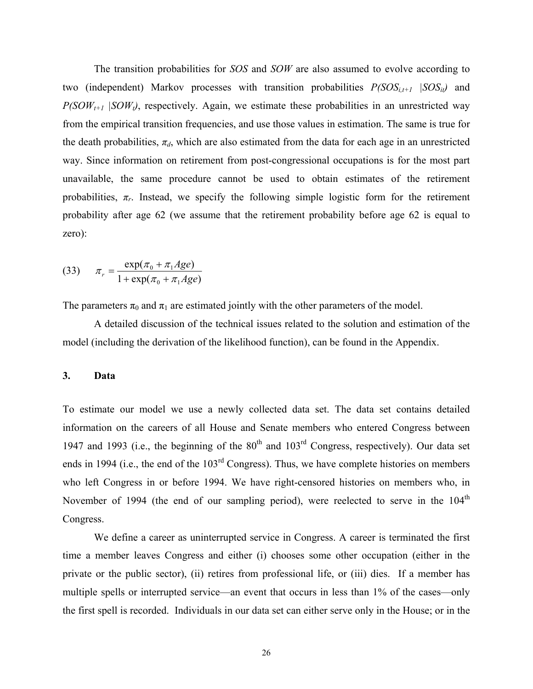The transition probabilities for *SOS* and *SOW* are also assumed to evolve according to two (independent) Markov processes with transition probabilities  $P(SOS_{i,t+1} | SOS_{i,t})$  and  $P(SOW_{t+1} | SOW_t)$ , respectively. Again, we estimate these probabilities in an unrestricted way from the empirical transition frequencies, and use those values in estimation. The same is true for the death probabilities,  $\pi_d$ , which are also estimated from the data for each age in an unrestricted way. Since information on retirement from post-congressional occupations is for the most part unavailable, the same procedure cannot be used to obtain estimates of the retirement probabilities,  $\pi_r$ . Instead, we specify the following simple logistic form for the retirement probability after age 62 (we assume that the retirement probability before age 62 is equal to zero):

(33) 
$$
\pi_r = \frac{\exp(\pi_0 + \pi_1 Age)}{1 + \exp(\pi_0 + \pi_1 Age)}
$$

The parameters  $\pi_0$  and  $\pi_1$  are estimated jointly with the other parameters of the model.

A detailed discussion of the technical issues related to the solution and estimation of the model (including the derivation of the likelihood function), can be found in the Appendix.

## **3. Data**

To estimate our model we use a newly collected data set. The data set contains detailed information on the careers of all House and Senate members who entered Congress between 1947 and 1993 (i.e., the beginning of the  $80<sup>th</sup>$  and  $103<sup>rd</sup>$  Congress, respectively). Our data set ends in 1994 (i.e., the end of the 103<sup>rd</sup> Congress). Thus, we have complete histories on members who left Congress in or before 1994. We have right-censored histories on members who, in November of 1994 (the end of our sampling period), were reelected to serve in the 104<sup>th</sup> Congress.

We define a career as uninterrupted service in Congress. A career is terminated the first time a member leaves Congress and either (i) chooses some other occupation (either in the private or the public sector), (ii) retires from professional life, or (iii) dies. If a member has multiple spells or interrupted service—an event that occurs in less than 1% of the cases—only the first spell is recorded. Individuals in our data set can either serve only in the House; or in the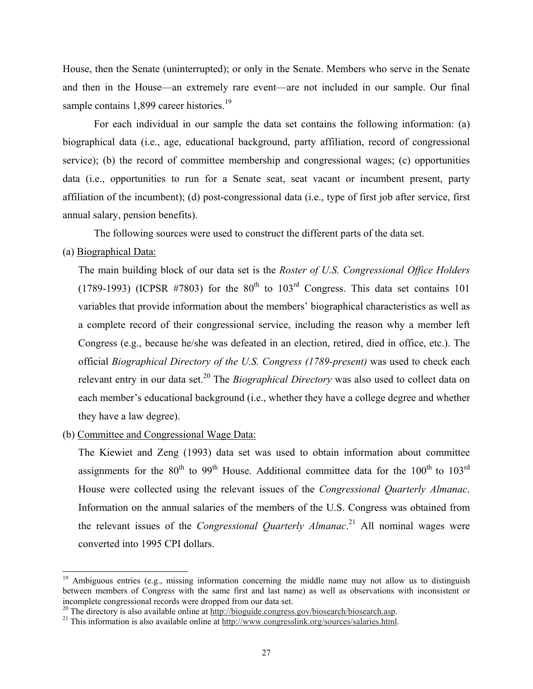House, then the Senate (uninterrupted); or only in the Senate. Members who serve in the Senate and then in the House—an extremely rare event—are not included in our sample. Our final sample contains  $1,899$  career histories.<sup>19</sup>

For each individual in our sample the data set contains the following information: (a) biographical data (i.e., age, educational background, party affiliation, record of congressional service); (b) the record of committee membership and congressional wages; (c) opportunities data (i.e., opportunities to run for a Senate seat, seat vacant or incumbent present, party affiliation of the incumbent); (d) post-congressional data (i.e., type of first job after service, first annual salary, pension benefits).

The following sources were used to construct the different parts of the data set.

(a) Biographical Data:

 $\overline{a}$ 

The main building block of our data set is the *Roster of U.S. Congressional Office Holders* (1789-1993) (ICPSR #7803) for the  $80^{th}$  to  $103^{rd}$  Congress. This data set contains 101 variables that provide information about the members' biographical characteristics as well as a complete record of their congressional service, including the reason why a member left Congress (e.g., because he/she was defeated in an election, retired, died in office, etc.). The official *Biographical Directory of the U.S. Congress (1789-present)* was used to check each relevant entry in our data set.<sup>20</sup> The *Biographical Directory* was also used to collect data on each member's educational background (i.e., whether they have a college degree and whether they have a law degree).

(b) Committee and Congressional Wage Data:

The Kiewiet and Zeng (1993) data set was used to obtain information about committee assignments for the  $80^{th}$  to  $99^{th}$  House. Additional committee data for the  $100^{th}$  to  $103^{rd}$ House were collected using the relevant issues of the *Congressional Quarterly Almanac*. Information on the annual salaries of the members of the U.S. Congress was obtained from the relevant issues of the *Congressional Quarterly Almanac*. 21 All nominal wages were converted into 1995 CPI dollars.

<sup>&</sup>lt;sup>19</sup> Ambiguous entries (e.g., missing information concerning the middle name may not allow us to distinguish between members of Congress with the same first and last name) as well as observations with inconsistent or incomplete congressional records were dropped from our data set.<br><sup>20</sup> The directory is also available online at http://bioguide.congress.gov/biosearch/biosearch.asp.

<sup>&</sup>lt;sup>21</sup> This information is also available online at http://www.congresslink.org/sources/salaries.html.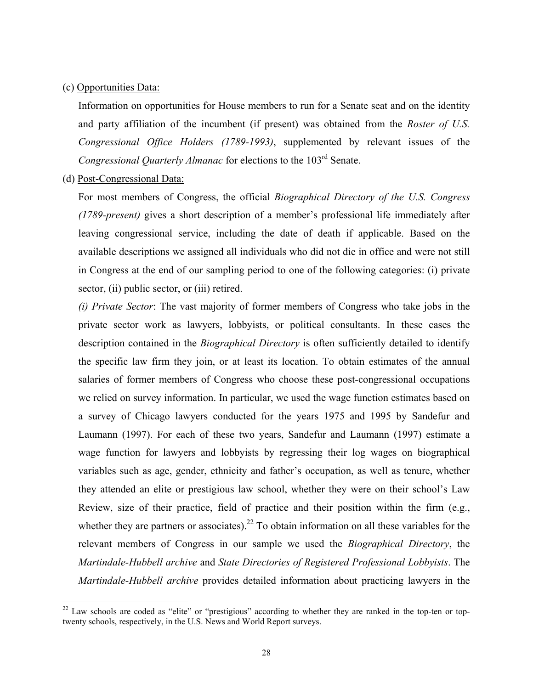#### (c) Opportunities Data:

Information on opportunities for House members to run for a Senate seat and on the identity and party affiliation of the incumbent (if present) was obtained from the *Roster of U.S. Congressional Office Holders (1789-1993)*, supplemented by relevant issues of the *Congressional Quarterly Almanac* for elections to the 103rd Senate.

#### (d) Post-Congressional Data:

 $\overline{a}$ 

For most members of Congress, the official *Biographical Directory of the U.S. Congress (1789-present)* gives a short description of a member's professional life immediately after leaving congressional service, including the date of death if applicable. Based on the available descriptions we assigned all individuals who did not die in office and were not still in Congress at the end of our sampling period to one of the following categories: (i) private sector, (ii) public sector, or (iii) retired.

*(i) Private Sector*: The vast majority of former members of Congress who take jobs in the private sector work as lawyers, lobbyists, or political consultants. In these cases the description contained in the *Biographical Directory* is often sufficiently detailed to identify the specific law firm they join, or at least its location. To obtain estimates of the annual salaries of former members of Congress who choose these post-congressional occupations we relied on survey information. In particular, we used the wage function estimates based on a survey of Chicago lawyers conducted for the years 1975 and 1995 by Sandefur and Laumann (1997). For each of these two years, Sandefur and Laumann (1997) estimate a wage function for lawyers and lobbyists by regressing their log wages on biographical variables such as age, gender, ethnicity and father's occupation, as well as tenure, whether they attended an elite or prestigious law school, whether they were on their school's Law Review, size of their practice, field of practice and their position within the firm (e.g., whether they are partners or associates).<sup>22</sup> To obtain information on all these variables for the relevant members of Congress in our sample we used the *Biographical Directory*, the *Martindale-Hubbell archive* and *State Directories of Registered Professional Lobbyists*. The *Martindale-Hubbell archive* provides detailed information about practicing lawyers in the

 $22$  Law schools are coded as "elite" or "prestigious" according to whether they are ranked in the top-ten or toptwenty schools, respectively, in the U.S. News and World Report surveys.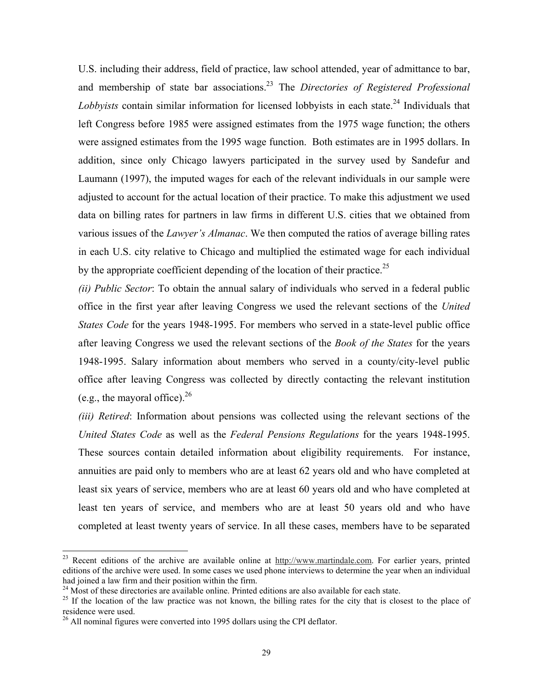U.S. including their address, field of practice, law school attended, year of admittance to bar, and membership of state bar associations.<sup>23</sup> The *Directories of Registered Professional Lobbyists* contain similar information for licensed lobbyists in each state.<sup>24</sup> Individuals that left Congress before 1985 were assigned estimates from the 1975 wage function; the others were assigned estimates from the 1995 wage function. Both estimates are in 1995 dollars. In addition, since only Chicago lawyers participated in the survey used by Sandefur and Laumann (1997), the imputed wages for each of the relevant individuals in our sample were adjusted to account for the actual location of their practice. To make this adjustment we used data on billing rates for partners in law firms in different U.S. cities that we obtained from various issues of the *Lawyer's Almanac*. We then computed the ratios of average billing rates in each U.S. city relative to Chicago and multiplied the estimated wage for each individual by the appropriate coefficient depending of the location of their practice.<sup>25</sup>

*(ii) Public Sector*: To obtain the annual salary of individuals who served in a federal public office in the first year after leaving Congress we used the relevant sections of the *United States Code* for the years 1948-1995. For members who served in a state-level public office after leaving Congress we used the relevant sections of the *Book of the States* for the years 1948-1995. Salary information about members who served in a county/city-level public office after leaving Congress was collected by directly contacting the relevant institution (e.g., the mayoral office).  $2^6$ 

*(iii) Retired*: Information about pensions was collected using the relevant sections of the *United States Code* as well as the *Federal Pensions Regulations* for the years 1948-1995. These sources contain detailed information about eligibility requirements. For instance, annuities are paid only to members who are at least 62 years old and who have completed at least six years of service, members who are at least 60 years old and who have completed at least ten years of service, and members who are at least 50 years old and who have completed at least twenty years of service. In all these cases, members have to be separated

 $^{23}$  Recent editions of the archive are available online at http://www.martindale.com. For earlier years, printed editions of the archive were used. In some cases we used phone interviews to determine the year when an individual had joined a law firm and their position within the firm.<br><sup>24</sup> Most of these directories are available online. Printed editions are also available for each state.

 $25$  If the location of the law practice was not known, the billing rates for the city that is closest to the place of residence were used.

<sup>&</sup>lt;sup>26</sup> All nominal figures were converted into 1995 dollars using the CPI deflator.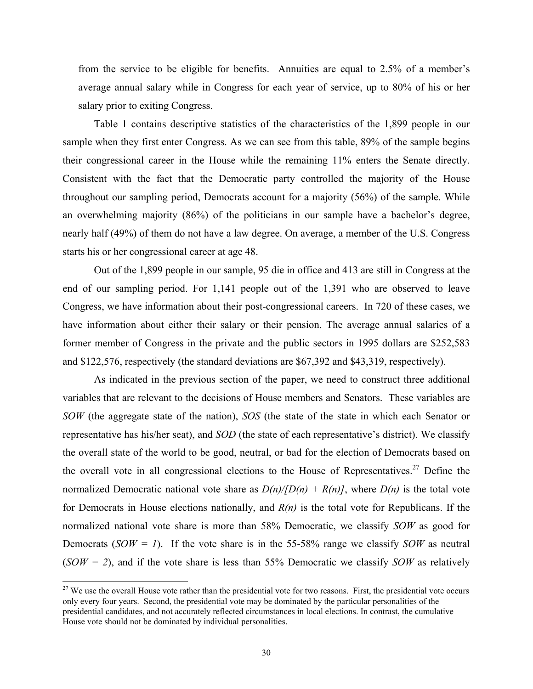from the service to be eligible for benefits. Annuities are equal to 2.5% of a member's average annual salary while in Congress for each year of service, up to 80% of his or her salary prior to exiting Congress.

 Table 1 contains descriptive statistics of the characteristics of the 1,899 people in our sample when they first enter Congress. As we can see from this table, 89% of the sample begins their congressional career in the House while the remaining 11% enters the Senate directly. Consistent with the fact that the Democratic party controlled the majority of the House throughout our sampling period, Democrats account for a majority (56%) of the sample. While an overwhelming majority (86%) of the politicians in our sample have a bachelor's degree, nearly half (49%) of them do not have a law degree. On average, a member of the U.S. Congress starts his or her congressional career at age 48.

Out of the 1,899 people in our sample, 95 die in office and 413 are still in Congress at the end of our sampling period. For 1,141 people out of the 1,391 who are observed to leave Congress, we have information about their post-congressional careers. In 720 of these cases, we have information about either their salary or their pension. The average annual salaries of a former member of Congress in the private and the public sectors in 1995 dollars are \$252,583 and \$122,576, respectively (the standard deviations are \$67,392 and \$43,319, respectively).

 As indicated in the previous section of the paper, we need to construct three additional variables that are relevant to the decisions of House members and Senators. These variables are *SOW* (the aggregate state of the nation), *SOS* (the state of the state in which each Senator or representative has his/her seat), and *SOD* (the state of each representative's district). We classify the overall state of the world to be good, neutral, or bad for the election of Democrats based on the overall vote in all congressional elections to the House of Representatives.<sup>27</sup> Define the normalized Democratic national vote share as  $D(n)/[D(n) + R(n)]$ , where  $D(n)$  is the total vote for Democrats in House elections nationally, and *R(n)* is the total vote for Republicans. If the normalized national vote share is more than 58% Democratic, we classify *SOW* as good for Democrats (*SOW = 1*). If the vote share is in the 55-58% range we classify *SOW* as neutral  $(SOW = 2)$ , and if the vote share is less than 55% Democratic we classify *SOW* as relatively

 $27$  We use the overall House vote rather than the presidential vote for two reasons. First, the presidential vote occurs only every four years. Second, the presidential vote may be dominated by the particular personalities of the presidential candidates, and not accurately reflected circumstances in local elections. In contrast, the cumulative House vote should not be dominated by individual personalities.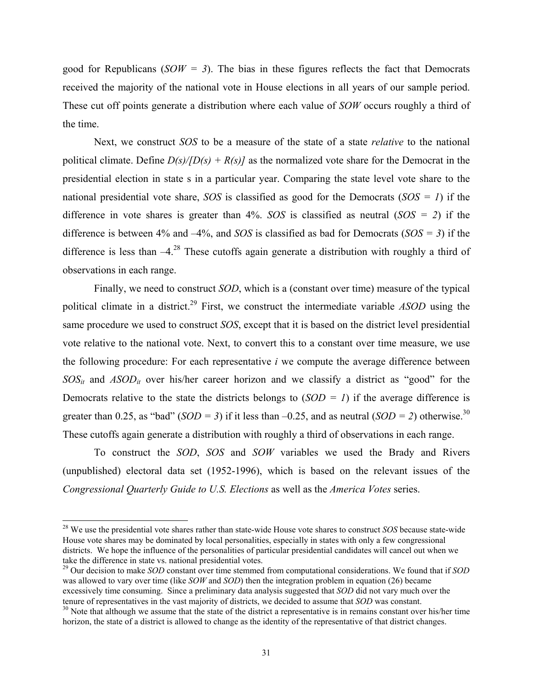good for Republicans (*SOW = 3*). The bias in these figures reflects the fact that Democrats received the majority of the national vote in House elections in all years of our sample period. These cut off points generate a distribution where each value of *SOW* occurs roughly a third of the time.

Next, we construct *SOS* to be a measure of the state of a state *relative* to the national political climate. Define *D(s)/[D(s) + R(s)]* as the normalized vote share for the Democrat in the presidential election in state s in a particular year. Comparing the state level vote share to the national presidential vote share, *SOS* is classified as good for the Democrats (*SOS = 1*) if the difference in vote shares is greater than 4%. *SOS* is classified as neutral (*SOS = 2*) if the difference is between 4% and –4%, and *SOS* is classified as bad for Democrats (*SOS = 3*) if the difference is less than  $-4^{28}$ . These cutoffs again generate a distribution with roughly a third of observations in each range.

Finally, we need to construct *SOD*, which is a (constant over time) measure of the typical political climate in a district.29 First, we construct the intermediate variable *ASOD* using the same procedure we used to construct *SOS*, except that it is based on the district level presidential vote relative to the national vote. Next, to convert this to a constant over time measure, we use the following procedure: For each representative *i* we compute the average difference between  $SOS_{it}$  and  $ASOD_{it}$  over his/her career horizon and we classify a district as "good" for the Democrats relative to the state the districts belongs to  $(SOD = I)$  if the average difference is greater than 0.25, as "bad" (*SOD* = 3) if it less than  $-0.25$ , and as neutral (*SOD* = 2) otherwise.<sup>30</sup> These cutoffs again generate a distribution with roughly a third of observations in each range.

To construct the *SOD*, *SOS* and *SOW* variables we used the Brady and Rivers (unpublished) electoral data set (1952-1996), which is based on the relevant issues of the *Congressional Quarterly Guide to U.S. Elections* as well as the *America Votes* series.

<sup>28</sup> We use the presidential vote shares rather than state-wide House vote shares to construct *SOS* because state-wide House vote shares may be dominated by local personalities, especially in states with only a few congressional districts. We hope the influence of the personalities of particular presidential candidates will cancel out when we take the difference in state vs. national presidential votes.

<sup>29</sup> Our decision to make *SOD* constant over time stemmed from computational considerations. We found that if *SOD* was allowed to vary over time (like *SOW* and *SOD*) then the integration problem in equation (26) became excessively time consuming. Since a preliminary data analysis suggested that *SOD* did not vary much over the tenure of representatives in the vast majority of districts, we decided to assume that *SOD* was constant.<br><sup>30</sup> Note that although we assume that the state of the district a representative is in remains constant over his/h

horizon, the state of a district is allowed to change as the identity of the representative of that district changes.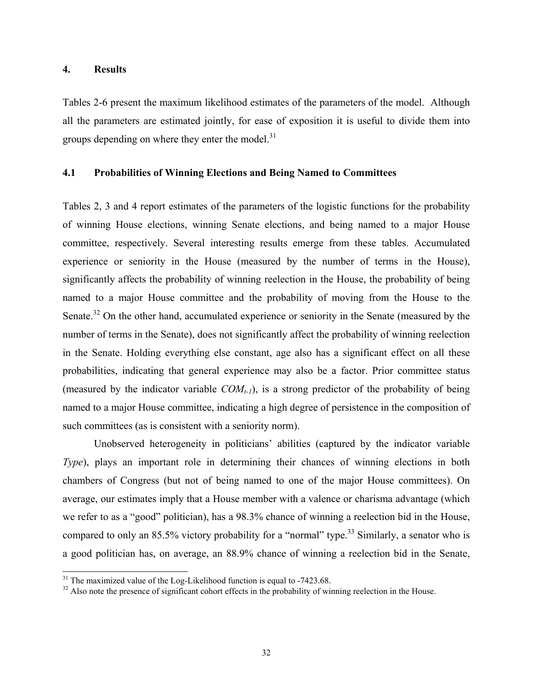## **4. Results**

 $\overline{a}$ 

Tables 2-6 present the maximum likelihood estimates of the parameters of the model. Although all the parameters are estimated jointly, for ease of exposition it is useful to divide them into groups depending on where they enter the model. $31$ 

## **4.1 Probabilities of Winning Elections and Being Named to Committees**

Tables 2, 3 and 4 report estimates of the parameters of the logistic functions for the probability of winning House elections, winning Senate elections, and being named to a major House committee, respectively. Several interesting results emerge from these tables. Accumulated experience or seniority in the House (measured by the number of terms in the House), significantly affects the probability of winning reelection in the House, the probability of being named to a major House committee and the probability of moving from the House to the Senate.<sup>32</sup> On the other hand, accumulated experience or seniority in the Senate (measured by the number of terms in the Senate), does not significantly affect the probability of winning reelection in the Senate. Holding everything else constant, age also has a significant effect on all these probabilities, indicating that general experience may also be a factor. Prior committee status (measured by the indicator variable  $COM_{t-1}$ ), is a strong predictor of the probability of being named to a major House committee, indicating a high degree of persistence in the composition of such committees (as is consistent with a seniority norm).

Unobserved heterogeneity in politicians' abilities (captured by the indicator variable *Type*), plays an important role in determining their chances of winning elections in both chambers of Congress (but not of being named to one of the major House committees). On average, our estimates imply that a House member with a valence or charisma advantage (which we refer to as a "good" politician), has a 98.3% chance of winning a reelection bid in the House, compared to only an 85.5% victory probability for a "normal" type.<sup>33</sup> Similarly, a senator who is a good politician has, on average, an 88.9% chance of winning a reelection bid in the Senate,

 $31$  The maximized value of the Log-Likelihood function is equal to -7423.68.

 $32$  Also note the presence of significant cohort effects in the probability of winning reelection in the House.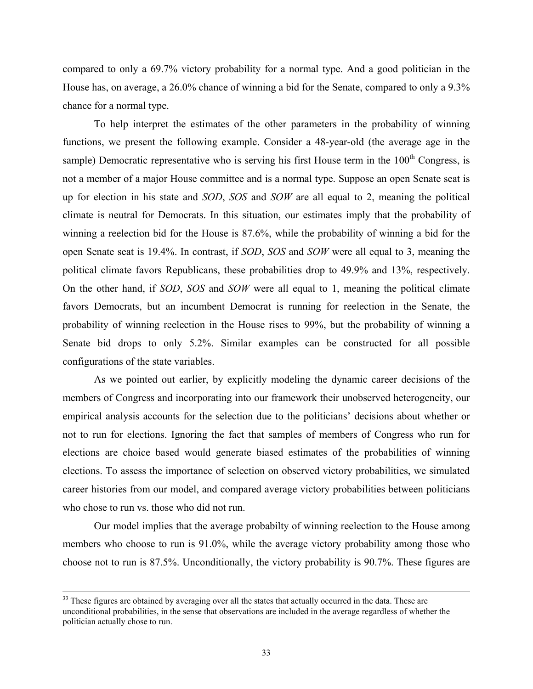compared to only a 69.7% victory probability for a normal type. And a good politician in the House has, on average, a 26.0% chance of winning a bid for the Senate, compared to only a 9.3% chance for a normal type.

To help interpret the estimates of the other parameters in the probability of winning functions, we present the following example. Consider a 48-year-old (the average age in the sample) Democratic representative who is serving his first House term in the  $100<sup>th</sup>$  Congress, is not a member of a major House committee and is a normal type. Suppose an open Senate seat is up for election in his state and *SOD*, *SOS* and *SOW* are all equal to 2, meaning the political climate is neutral for Democrats. In this situation, our estimates imply that the probability of winning a reelection bid for the House is 87.6%, while the probability of winning a bid for the open Senate seat is 19.4%. In contrast, if *SOD*, *SOS* and *SOW* were all equal to 3, meaning the political climate favors Republicans, these probabilities drop to 49.9% and 13%, respectively. On the other hand, if *SOD*, *SOS* and *SOW* were all equal to 1, meaning the political climate favors Democrats, but an incumbent Democrat is running for reelection in the Senate, the probability of winning reelection in the House rises to 99%, but the probability of winning a Senate bid drops to only 5.2%. Similar examples can be constructed for all possible configurations of the state variables.

As we pointed out earlier, by explicitly modeling the dynamic career decisions of the members of Congress and incorporating into our framework their unobserved heterogeneity, our empirical analysis accounts for the selection due to the politicians' decisions about whether or not to run for elections. Ignoring the fact that samples of members of Congress who run for elections are choice based would generate biased estimates of the probabilities of winning elections. To assess the importance of selection on observed victory probabilities, we simulated career histories from our model, and compared average victory probabilities between politicians who chose to run vs. those who did not run.

Our model implies that the average probabilty of winning reelection to the House among members who choose to run is 91.0%, while the average victory probability among those who choose not to run is 87.5%. Unconditionally, the victory probability is 90.7%. These figures are

<sup>&</sup>lt;sup>33</sup> These figures are obtained by averaging over all the states that actually occurred in the data. These are unconditional probabilities, in the sense that observations are included in the average regardless of whether the politician actually chose to run.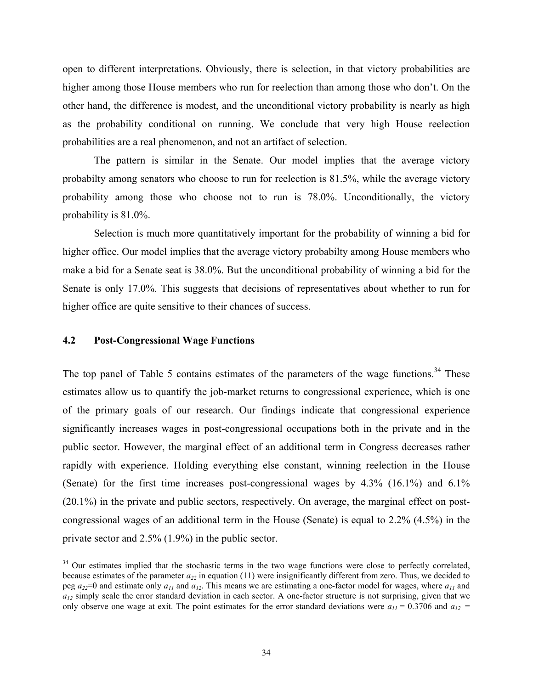open to different interpretations. Obviously, there is selection, in that victory probabilities are higher among those House members who run for reelection than among those who don't. On the other hand, the difference is modest, and the unconditional victory probability is nearly as high as the probability conditional on running. We conclude that very high House reelection probabilities are a real phenomenon, and not an artifact of selection.

The pattern is similar in the Senate. Our model implies that the average victory probabilty among senators who choose to run for reelection is 81.5%, while the average victory probability among those who choose not to run is 78.0%. Unconditionally, the victory probability is 81.0%.

Selection is much more quantitatively important for the probability of winning a bid for higher office. Our model implies that the average victory probabilty among House members who make a bid for a Senate seat is 38.0%. But the unconditional probability of winning a bid for the Senate is only 17.0%. This suggests that decisions of representatives about whether to run for higher office are quite sensitive to their chances of success.

## **4.2 Post-Congressional Wage Functions**

 $\overline{a}$ 

The top panel of Table 5 contains estimates of the parameters of the wage functions.<sup>34</sup> These estimates allow us to quantify the job-market returns to congressional experience, which is one of the primary goals of our research. Our findings indicate that congressional experience significantly increases wages in post-congressional occupations both in the private and in the public sector. However, the marginal effect of an additional term in Congress decreases rather rapidly with experience. Holding everything else constant, winning reelection in the House (Senate) for the first time increases post-congressional wages by 4.3% (16.1%) and 6.1% (20.1%) in the private and public sectors, respectively. On average, the marginal effect on postcongressional wages of an additional term in the House (Senate) is equal to 2.2% (4.5%) in the private sector and 2.5% (1.9%) in the public sector.

<sup>&</sup>lt;sup>34</sup> Our estimates implied that the stochastic terms in the two wage functions were close to perfectly correlated, because estimates of the parameter  $a_{22}$  in equation (11) were insignificantly different from zero. Thus, we decided to peg  $a_2=0$  and estimate only  $a_{11}$  and  $a_{12}$ . This means we are estimating a one-factor model for wages, where  $a_{11}$  and  $a_{12}$  simply scale the error standard deviation in each sector. A one-factor structure is not surprising, given that we only observe one wage at exit. The point estimates for the error standard deviations were  $a_{11} = 0.3706$  and  $a_{12} =$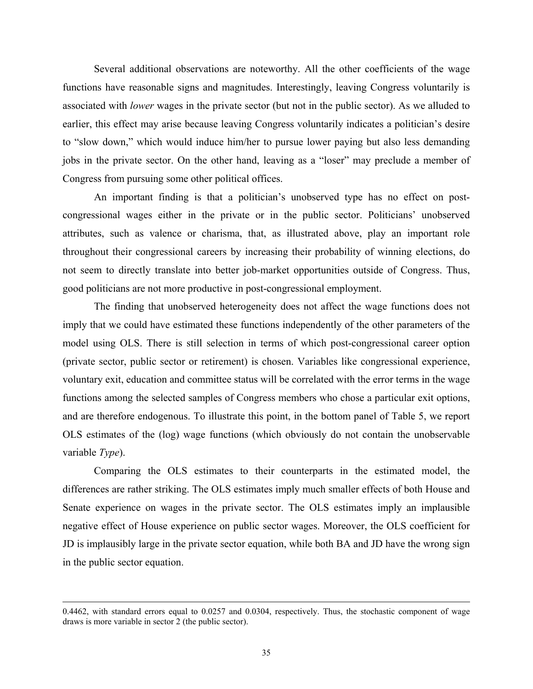Several additional observations are noteworthy. All the other coefficients of the wage functions have reasonable signs and magnitudes. Interestingly, leaving Congress voluntarily is associated with *lower* wages in the private sector (but not in the public sector). As we alluded to earlier, this effect may arise because leaving Congress voluntarily indicates a politician's desire to "slow down," which would induce him/her to pursue lower paying but also less demanding jobs in the private sector. On the other hand, leaving as a "loser" may preclude a member of Congress from pursuing some other political offices.

An important finding is that a politician's unobserved type has no effect on postcongressional wages either in the private or in the public sector. Politicians' unobserved attributes, such as valence or charisma, that, as illustrated above, play an important role throughout their congressional careers by increasing their probability of winning elections, do not seem to directly translate into better job-market opportunities outside of Congress. Thus, good politicians are not more productive in post-congressional employment.

The finding that unobserved heterogeneity does not affect the wage functions does not imply that we could have estimated these functions independently of the other parameters of the model using OLS. There is still selection in terms of which post-congressional career option (private sector, public sector or retirement) is chosen. Variables like congressional experience, voluntary exit, education and committee status will be correlated with the error terms in the wage functions among the selected samples of Congress members who chose a particular exit options, and are therefore endogenous. To illustrate this point, in the bottom panel of Table 5, we report OLS estimates of the (log) wage functions (which obviously do not contain the unobservable variable *Type*).

Comparing the OLS estimates to their counterparts in the estimated model, the differences are rather striking. The OLS estimates imply much smaller effects of both House and Senate experience on wages in the private sector. The OLS estimates imply an implausible negative effect of House experience on public sector wages. Moreover, the OLS coefficient for JD is implausibly large in the private sector equation, while both BA and JD have the wrong sign in the public sector equation.

<sup>0.4462,</sup> with standard errors equal to 0.0257 and 0.0304, respectively. Thus, the stochastic component of wage draws is more variable in sector 2 (the public sector).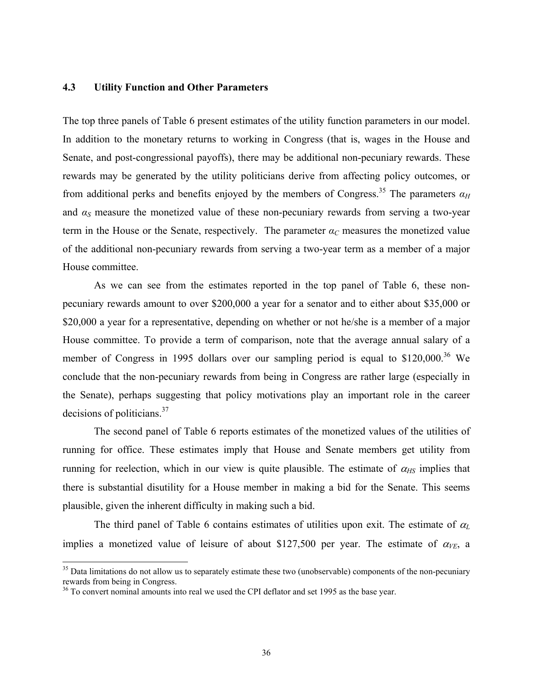## **4.3 Utility Function and Other Parameters**

The top three panels of Table 6 present estimates of the utility function parameters in our model. In addition to the monetary returns to working in Congress (that is, wages in the House and Senate, and post-congressional payoffs), there may be additional non-pecuniary rewards. These rewards may be generated by the utility politicians derive from affecting policy outcomes, or from additional perks and benefits enjoyed by the members of Congress.<sup>35</sup> The parameters  $\alpha_H$ and  $\alpha_s$  measure the monetized value of these non-pecuniary rewards from serving a two-year term in the House or the Senate, respectively. The parameter  $\alpha_C$  measures the monetized value of the additional non-pecuniary rewards from serving a two-year term as a member of a major House committee.

As we can see from the estimates reported in the top panel of Table 6, these nonpecuniary rewards amount to over \$200,000 a year for a senator and to either about \$35,000 or \$20,000 a year for a representative, depending on whether or not he/she is a member of a major House committee. To provide a term of comparison, note that the average annual salary of a member of Congress in 1995 dollars over our sampling period is equal to \$120,000.<sup>36</sup> We conclude that the non-pecuniary rewards from being in Congress are rather large (especially in the Senate), perhaps suggesting that policy motivations play an important role in the career decisions of politicians.<sup>37</sup>

The second panel of Table 6 reports estimates of the monetized values of the utilities of running for office. These estimates imply that House and Senate members get utility from running for reelection, which in our view is quite plausible. The estimate of  $\alpha_{\text{H}S}$  implies that there is substantial disutility for a House member in making a bid for the Senate. This seems plausible, given the inherent difficulty in making such a bid.

The third panel of Table 6 contains estimates of utilities upon exit. The estimate of <sup>α</sup>*<sup>L</sup>* implies a monetized value of leisure of about \$127,500 per year. The estimate of  $\alpha_{VE}$ , a

 $35$  Data limitations do not allow us to separately estimate these two (unobservable) components of the non-pecuniary rewards from being in Congress.

<sup>&</sup>lt;sup>36</sup> To convert nominal amounts into real we used the CPI deflator and set 1995 as the base year.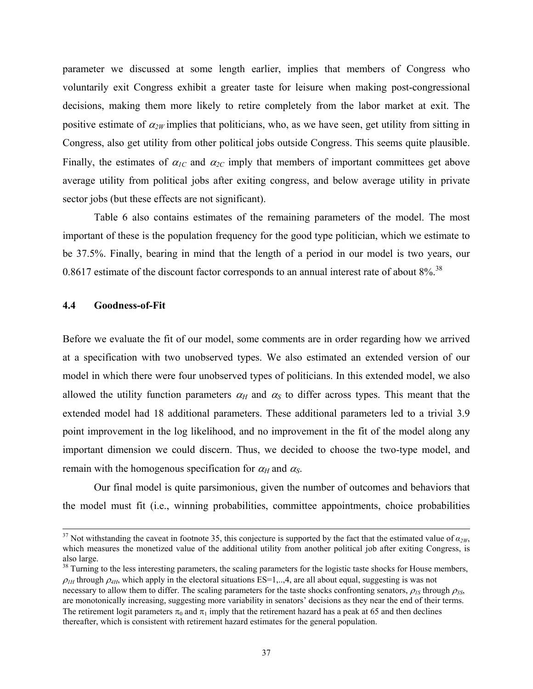parameter we discussed at some length earlier, implies that members of Congress who voluntarily exit Congress exhibit a greater taste for leisure when making post-congressional decisions, making them more likely to retire completely from the labor market at exit. The positive estimate of  $\alpha_{2W}$  implies that politicians, who, as we have seen, get utility from sitting in Congress, also get utility from other political jobs outside Congress. This seems quite plausible. Finally, the estimates of  $\alpha_{1C}$  and  $\alpha_{2C}$  imply that members of important committees get above average utility from political jobs after exiting congress, and below average utility in private sector jobs (but these effects are not significant).

Table 6 also contains estimates of the remaining parameters of the model. The most important of these is the population frequency for the good type politician, which we estimate to be 37.5%. Finally, bearing in mind that the length of a period in our model is two years, our 0.8617 estimate of the discount factor corresponds to an annual interest rate of about  $8\%$ .<sup>38</sup>

### **4.4 Goodness-of-Fit**

Before we evaluate the fit of our model, some comments are in order regarding how we arrived at a specification with two unobserved types. We also estimated an extended version of our model in which there were four unobserved types of politicians. In this extended model, we also allowed the utility function parameters  $\alpha_H$  and  $\alpha_S$  to differ across types. This meant that the extended model had 18 additional parameters. These additional parameters led to a trivial 3.9 point improvement in the log likelihood, and no improvement in the fit of the model along any important dimension we could discern. Thus, we decided to choose the two-type model, and remain with the homogenous specification for  $\alpha_H$  and  $\alpha_S$ .

 Our final model is quite parsimonious, given the number of outcomes and behaviors that the model must fit (i.e., winning probabilities, committee appointments, choice probabilities

<sup>&</sup>lt;sup>37</sup> Not withstanding the caveat in footnote 35, this conjecture is supported by the fact that the estimated value of  $a_{2W}$ , which measures the monetized value of the additional utility from another political job after exiting Congress, is also large.

 $38$  Turning to the less interesting parameters, the scaling parameters for the logistic taste shocks for House members,  $\rho_{1H}$  through  $\rho_{4H}$ , which apply in the electoral situations ES=1,..,4, are all about equal, suggesting is was not necessary to allow them to differ. The scaling parameters for the taste shocks confronting senators,  $\rho_{IS}$  through  $\rho_{IS}$ , are monotonically increasing, suggesting more variability in senators' decisions as they near the end of their terms. The retirement logit parameters  $\pi_0$  and  $\pi_1$  imply that the retirement hazard has a peak at 65 and then declines thereafter, which is consistent with retirement hazard estimates for the general population.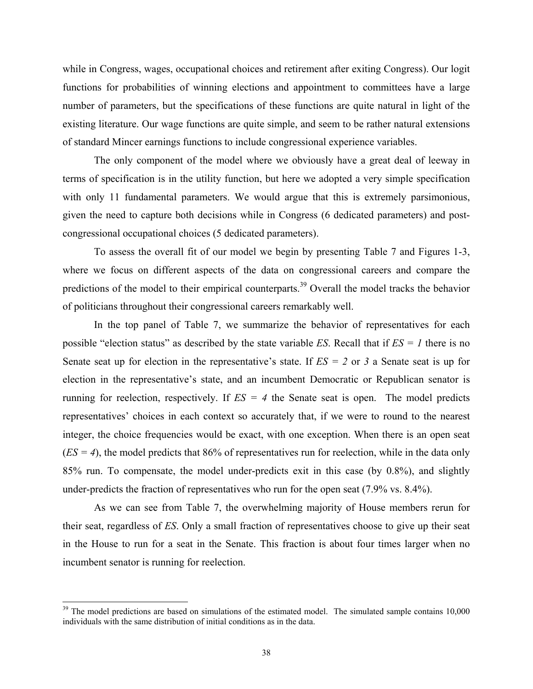while in Congress, wages, occupational choices and retirement after exiting Congress). Our logit functions for probabilities of winning elections and appointment to committees have a large number of parameters, but the specifications of these functions are quite natural in light of the existing literature. Our wage functions are quite simple, and seem to be rather natural extensions of standard Mincer earnings functions to include congressional experience variables.

The only component of the model where we obviously have a great deal of leeway in terms of specification is in the utility function, but here we adopted a very simple specification with only 11 fundamental parameters. We would argue that this is extremely parsimonious, given the need to capture both decisions while in Congress (6 dedicated parameters) and postcongressional occupational choices (5 dedicated parameters).

To assess the overall fit of our model we begin by presenting Table 7 and Figures 1-3, where we focus on different aspects of the data on congressional careers and compare the predictions of the model to their empirical counterparts.39 Overall the model tracks the behavior of politicians throughout their congressional careers remarkably well.

In the top panel of Table 7, we summarize the behavior of representatives for each possible "election status" as described by the state variable *ES*. Recall that if *ES = 1* there is no Senate seat up for election in the representative's state. If *ES = 2* or *3* a Senate seat is up for election in the representative's state, and an incumbent Democratic or Republican senator is running for reelection, respectively. If  $ES = 4$  the Senate seat is open. The model predicts representatives' choices in each context so accurately that, if we were to round to the nearest integer, the choice frequencies would be exact, with one exception. When there is an open seat  $(ES = 4)$ , the model predicts that 86% of representatives run for reelection, while in the data only 85% run. To compensate, the model under-predicts exit in this case (by 0.8%), and slightly under-predicts the fraction of representatives who run for the open seat (7.9% vs. 8.4%).

As we can see from Table 7, the overwhelming majority of House members rerun for their seat, regardless of *ES*. Only a small fraction of representatives choose to give up their seat in the House to run for a seat in the Senate. This fraction is about four times larger when no incumbent senator is running for reelection.

 $39$  The model predictions are based on simulations of the estimated model. The simulated sample contains 10,000 individuals with the same distribution of initial conditions as in the data.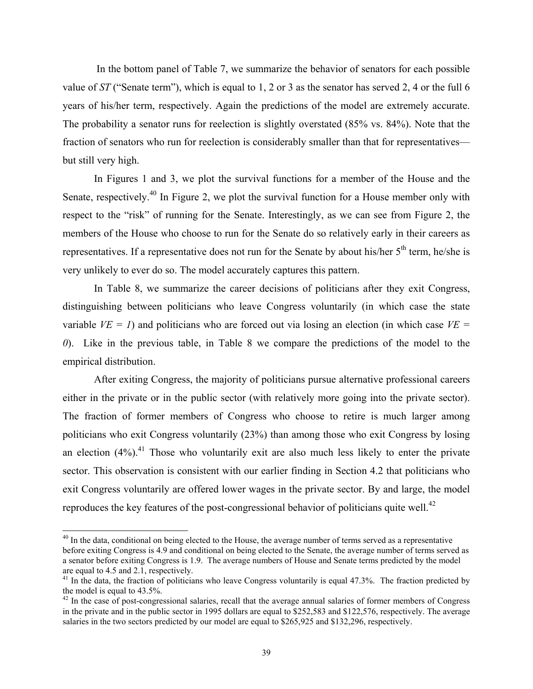In the bottom panel of Table 7, we summarize the behavior of senators for each possible value of *ST* ("Senate term"), which is equal to 1, 2 or 3 as the senator has served 2, 4 or the full 6 years of his/her term, respectively. Again the predictions of the model are extremely accurate. The probability a senator runs for reelection is slightly overstated (85% vs. 84%). Note that the fraction of senators who run for reelection is considerably smaller than that for representatives but still very high.

In Figures 1 and 3, we plot the survival functions for a member of the House and the Senate, respectively.<sup>40</sup> In Figure 2, we plot the survival function for a House member only with respect to the "risk" of running for the Senate. Interestingly, as we can see from Figure 2, the members of the House who choose to run for the Senate do so relatively early in their careers as representatives. If a representative does not run for the Senate by about his/her 5<sup>th</sup> term, he/she is very unlikely to ever do so. The model accurately captures this pattern.

In Table 8, we summarize the career decisions of politicians after they exit Congress, distinguishing between politicians who leave Congress voluntarily (in which case the state variable *VE = 1*) and politicians who are forced out via losing an election (in which case *VE = 0*). Like in the previous table, in Table 8 we compare the predictions of the model to the empirical distribution.

After exiting Congress, the majority of politicians pursue alternative professional careers either in the private or in the public sector (with relatively more going into the private sector). The fraction of former members of Congress who choose to retire is much larger among politicians who exit Congress voluntarily (23%) than among those who exit Congress by losing an election  $(4\%)$ <sup>41</sup>. Those who voluntarily exit are also much less likely to enter the private sector. This observation is consistent with our earlier finding in Section 4.2 that politicians who exit Congress voluntarily are offered lower wages in the private sector. By and large, the model reproduces the key features of the post-congressional behavior of politicians quite well.<sup>42</sup>

<sup>&</sup>lt;sup>40</sup> In the data, conditional on being elected to the House, the average number of terms served as a representative before exiting Congress is 4.9 and conditional on being elected to the Senate, the average number of terms served as a senator before exiting Congress is 1.9. The average numbers of House and Senate terms predicted by the model are equal to 4.5 and 2.1, respectively.

<sup>&</sup>lt;sup>41</sup> In the data, the fraction of politicians who leave Congress voluntarily is equal 47.3%. The fraction predicted by the model is equal to 43.5%.

 $42$  In the case of post-congressional salaries, recall that the average annual salaries of former members of Congress in the private and in the public sector in 1995 dollars are equal to \$252,583 and \$122,576, respectively. The average salaries in the two sectors predicted by our model are equal to \$265,925 and \$132,296, respectively.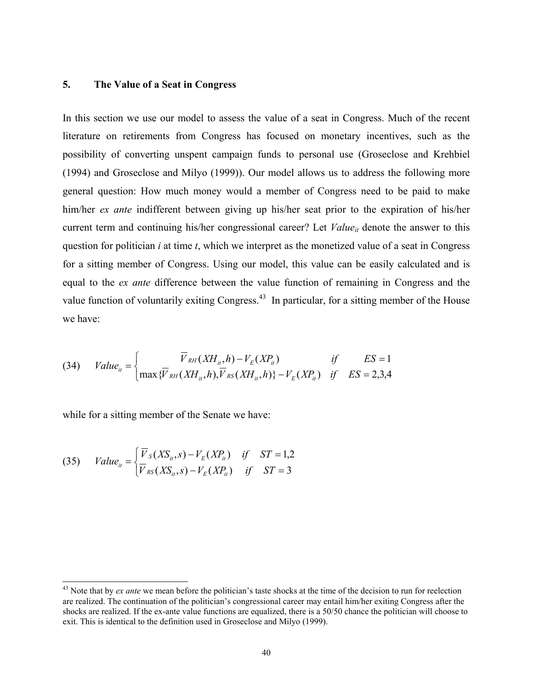#### **5. The Value of a Seat in Congress**

In this section we use our model to assess the value of a seat in Congress. Much of the recent literature on retirements from Congress has focused on monetary incentives, such as the possibility of converting unspent campaign funds to personal use (Groseclose and Krehbiel (1994) and Groseclose and Milyo (1999)). Our model allows us to address the following more general question: How much money would a member of Congress need to be paid to make him/her *ex ante* indifferent between giving up his/her seat prior to the expiration of his/her current term and continuing his/her congressional career? Let *Value<sub>it</sub>* denote the answer to this question for politician *i* at time *t*, which we interpret as the monetized value of a seat in Congress for a sitting member of Congress. Using our model, this value can be easily calculated and is equal to the *ex ante* difference between the value function of remaining in Congress and the value function of voluntarily exiting Congress.<sup>43</sup> In particular, for a sitting member of the House we have:

(34) 
$$
Value_{it} = \begin{cases} \overline{V}_{RH}(XH_{it}, h) - V_E(XP_{it}) & \text{if} \quad ES = 1\\ \max{\{\overline{V}_{RH}(XH_{it}, h), \overline{V}_{RS}(XH_{it}, h)\}} - V_E(XP_{it}) & \text{if} \quad ES = 2,3,4 \end{cases}
$$

while for a sitting member of the Senate we have:

(35) 
$$
Value_{it} = \begin{cases} \overline{V}_S(XS_{it}, S) - V_E(XP_{it}) & \text{if } ST = 1,2\\ \overline{V}_{RS}(XS_{it}, S) - V_E(XP_{it}) & \text{if } ST = 3 \end{cases}
$$

<sup>&</sup>lt;sup>43</sup> Note that by *ex ante* we mean before the politician's taste shocks at the time of the decision to run for reelection are realized. The continuation of the politician's congressional career may entail him/her exiting Congress after the shocks are realized. If the ex-ante value functions are equalized, there is a 50/50 chance the politician will choose to exit. This is identical to the definition used in Groseclose and Milyo (1999).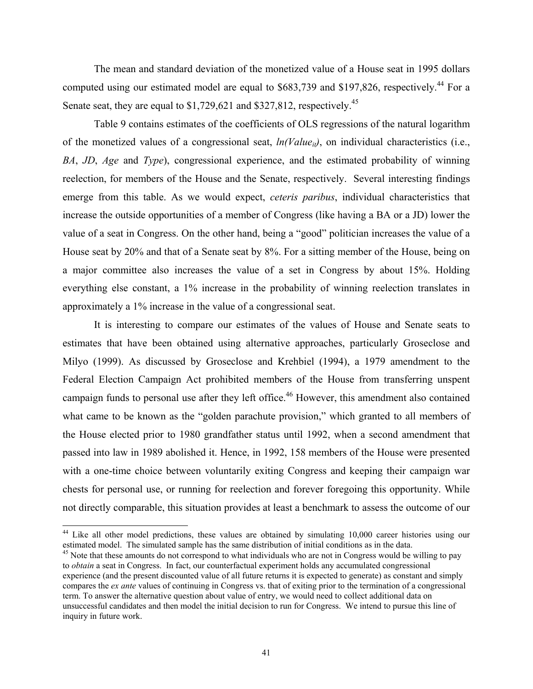The mean and standard deviation of the monetized value of a House seat in 1995 dollars computed using our estimated model are equal to  $$683,739$  and  $$197,826$ , respectively.<sup>44</sup> For a Senate seat, they are equal to  $$1,729,621$  and  $$327,812$ , respectively.<sup>45</sup>

Table 9 contains estimates of the coefficients of OLS regressions of the natural logarithm of the monetized values of a congressional seat,  $ln(Value_{il})$ , on individual characteristics (i.e., *BA*, *JD*, *Age* and *Type*), congressional experience, and the estimated probability of winning reelection, for members of the House and the Senate, respectively. Several interesting findings emerge from this table. As we would expect, *ceteris paribus*, individual characteristics that increase the outside opportunities of a member of Congress (like having a BA or a JD) lower the value of a seat in Congress. On the other hand, being a "good" politician increases the value of a House seat by 20% and that of a Senate seat by 8%. For a sitting member of the House, being on a major committee also increases the value of a set in Congress by about 15%. Holding everything else constant, a 1% increase in the probability of winning reelection translates in approximately a 1% increase in the value of a congressional seat.

It is interesting to compare our estimates of the values of House and Senate seats to estimates that have been obtained using alternative approaches, particularly Groseclose and Milyo (1999). As discussed by Groseclose and Krehbiel (1994), a 1979 amendment to the Federal Election Campaign Act prohibited members of the House from transferring unspent campaign funds to personal use after they left office.<sup>46</sup> However, this amendment also contained what came to be known as the "golden parachute provision," which granted to all members of the House elected prior to 1980 grandfather status until 1992, when a second amendment that passed into law in 1989 abolished it. Hence, in 1992, 158 members of the House were presented with a one-time choice between voluntarily exiting Congress and keeping their campaign war chests for personal use, or running for reelection and forever foregoing this opportunity. While not directly comparable, this situation provides at least a benchmark to assess the outcome of our

 $\overline{\phantom{a}}$ 

 $44$  Like all other model predictions, these values are obtained by simulating 10,000 career histories using our estimated model. The simulated sample has the same distribution of initial conditions as in the data.

 $45$  Note that these amounts do not correspond to what individuals who are not in Congress would be willing to pay to *obtain* a seat in Congress. In fact, our counterfactual experiment holds any accumulated congressional experience (and the present discounted value of all future returns it is expected to generate) as constant and simply compares the *ex ante* values of continuing in Congress vs. that of exiting prior to the termination of a congressional term. To answer the alternative question about value of entry, we would need to collect additional data on unsuccessful candidates and then model the initial decision to run for Congress. We intend to pursue this line of inquiry in future work.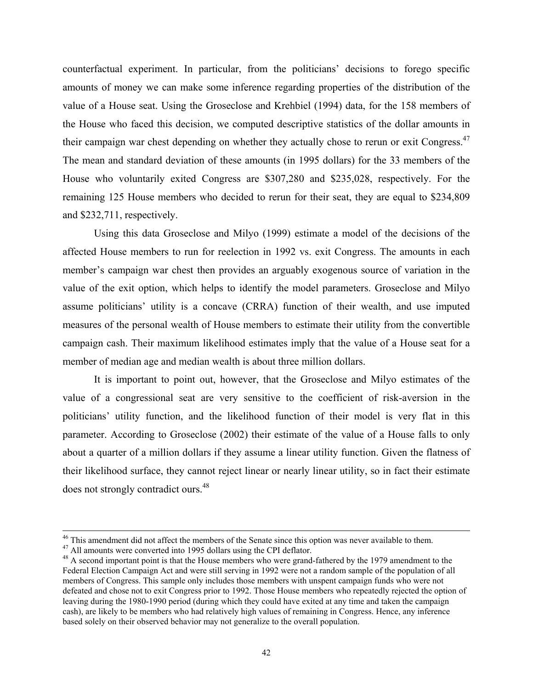counterfactual experiment. In particular, from the politicians' decisions to forego specific amounts of money we can make some inference regarding properties of the distribution of the value of a House seat. Using the Groseclose and Krehbiel (1994) data, for the 158 members of the House who faced this decision, we computed descriptive statistics of the dollar amounts in their campaign war chest depending on whether they actually chose to rerun or exit Congress.<sup>47</sup> The mean and standard deviation of these amounts (in 1995 dollars) for the 33 members of the House who voluntarily exited Congress are \$307,280 and \$235,028, respectively. For the remaining 125 House members who decided to rerun for their seat, they are equal to \$234,809 and \$232,711, respectively.

Using this data Groseclose and Milyo (1999) estimate a model of the decisions of the affected House members to run for reelection in 1992 vs. exit Congress. The amounts in each member's campaign war chest then provides an arguably exogenous source of variation in the value of the exit option, which helps to identify the model parameters. Groseclose and Milyo assume politicians' utility is a concave (CRRA) function of their wealth, and use imputed measures of the personal wealth of House members to estimate their utility from the convertible campaign cash. Their maximum likelihood estimates imply that the value of a House seat for a member of median age and median wealth is about three million dollars.

It is important to point out, however, that the Groseclose and Milyo estimates of the value of a congressional seat are very sensitive to the coefficient of risk-aversion in the politicians' utility function, and the likelihood function of their model is very flat in this parameter. According to Groseclose (2002) their estimate of the value of a House falls to only about a quarter of a million dollars if they assume a linear utility function. Given the flatness of their likelihood surface, they cannot reject linear or nearly linear utility, so in fact their estimate does not strongly contradict ours.<sup>48</sup>

<sup>&</sup>lt;sup>46</sup> This amendment did not affect the members of the Senate since this option was never available to them.

<sup>&</sup>lt;sup>47</sup> All amounts were converted into 1995 dollars using the CPI deflator.

<sup>&</sup>lt;sup>48</sup> A second important point is that the House members who were grand-fathered by the 1979 amendment to the Federal Election Campaign Act and were still serving in 1992 were not a random sample of the population of all members of Congress. This sample only includes those members with unspent campaign funds who were not defeated and chose not to exit Congress prior to 1992. Those House members who repeatedly rejected the option of leaving during the 1980-1990 period (during which they could have exited at any time and taken the campaign cash), are likely to be members who had relatively high values of remaining in Congress. Hence, any inference based solely on their observed behavior may not generalize to the overall population.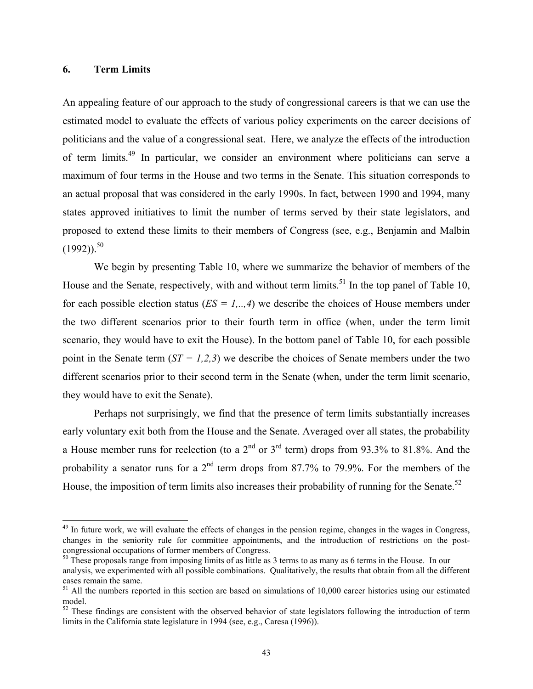### **6. Term Limits**

 $\overline{\phantom{a}}$ 

An appealing feature of our approach to the study of congressional careers is that we can use the estimated model to evaluate the effects of various policy experiments on the career decisions of politicians and the value of a congressional seat. Here, we analyze the effects of the introduction of term limits.49 In particular, we consider an environment where politicians can serve a maximum of four terms in the House and two terms in the Senate. This situation corresponds to an actual proposal that was considered in the early 1990s. In fact, between 1990 and 1994, many states approved initiatives to limit the number of terms served by their state legislators, and proposed to extend these limits to their members of Congress (see, e.g., Benjamin and Malbin  $(1992)$ .<sup>50</sup>

 We begin by presenting Table 10, where we summarize the behavior of members of the House and the Senate, respectively, with and without term limits.<sup>51</sup> In the top panel of Table 10, for each possible election status  $(ES = 1, ..., 4)$  we describe the choices of House members under the two different scenarios prior to their fourth term in office (when, under the term limit scenario, they would have to exit the House). In the bottom panel of Table 10, for each possible point in the Senate term (*ST = 1,2,3*) we describe the choices of Senate members under the two different scenarios prior to their second term in the Senate (when, under the term limit scenario, they would have to exit the Senate).

Perhaps not surprisingly, we find that the presence of term limits substantially increases early voluntary exit both from the House and the Senate. Averaged over all states, the probability a House member runs for reelection (to a  $2<sup>nd</sup>$  or  $3<sup>rd</sup>$  term) drops from 93.3% to 81.8%. And the probability a senator runs for a  $2<sup>nd</sup>$  term drops from 87.7% to 79.9%. For the members of the House, the imposition of term limits also increases their probability of running for the Senate.<sup>52</sup>

 $49$  In future work, we will evaluate the effects of changes in the pension regime, changes in the wages in Congress, changes in the seniority rule for committee appointments, and the introduction of restrictions on the postcongressional occupations of former members of Congress.

 $50$  These proposals range from imposing limits of as little as 3 terms to as many as 6 terms in the House. In our analysis, we experimented with all possible combinations. Qualitatively, the results that obtain from all the different cases remain the same.

 $51$  All the numbers reported in this section are based on simulations of 10,000 career histories using our estimated model.

 $52$  These findings are consistent with the observed behavior of state legislators following the introduction of term limits in the California state legislature in 1994 (see, e.g., Caresa (1996)).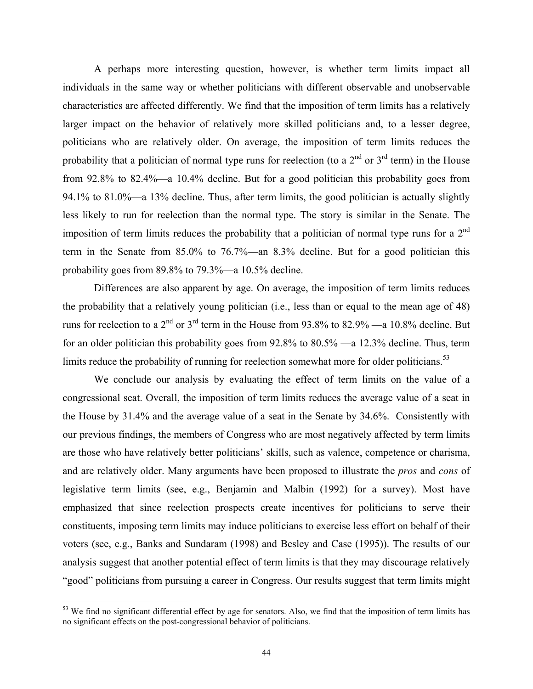A perhaps more interesting question, however, is whether term limits impact all individuals in the same way or whether politicians with different observable and unobservable characteristics are affected differently. We find that the imposition of term limits has a relatively larger impact on the behavior of relatively more skilled politicians and, to a lesser degree, politicians who are relatively older. On average, the imposition of term limits reduces the probability that a politician of normal type runs for reelection (to a  $2<sup>nd</sup>$  or  $3<sup>rd</sup>$  term) in the House from 92.8% to 82.4%—a 10.4% decline. But for a good politician this probability goes from 94.1% to 81.0%—a 13% decline. Thus, after term limits, the good politician is actually slightly less likely to run for reelection than the normal type. The story is similar in the Senate. The imposition of term limits reduces the probability that a politician of normal type runs for a  $2<sup>nd</sup>$ term in the Senate from 85.0% to 76.7%—an 8.3% decline. But for a good politician this probability goes from 89.8% to 79.3%—a 10.5% decline.

Differences are also apparent by age. On average, the imposition of term limits reduces the probability that a relatively young politician (i.e., less than or equal to the mean age of 48) runs for reelection to a  $2^{nd}$  or  $3^{rd}$  term in the House from 93.8% to 82.9% —a 10.8% decline. But for an older politician this probability goes from 92.8% to 80.5% —a 12.3% decline. Thus, term limits reduce the probability of running for reelection somewhat more for older politicians.<sup>53</sup>

We conclude our analysis by evaluating the effect of term limits on the value of a congressional seat. Overall, the imposition of term limits reduces the average value of a seat in the House by 31.4% and the average value of a seat in the Senate by 34.6%. Consistently with our previous findings, the members of Congress who are most negatively affected by term limits are those who have relatively better politicians' skills, such as valence, competence or charisma, and are relatively older. Many arguments have been proposed to illustrate the *pros* and *cons* of legislative term limits (see, e.g., Benjamin and Malbin (1992) for a survey). Most have emphasized that since reelection prospects create incentives for politicians to serve their constituents, imposing term limits may induce politicians to exercise less effort on behalf of their voters (see, e.g., Banks and Sundaram (1998) and Besley and Case (1995)). The results of our analysis suggest that another potential effect of term limits is that they may discourage relatively "good" politicians from pursuing a career in Congress. Our results suggest that term limits might

 $53$  We find no significant differential effect by age for senators. Also, we find that the imposition of term limits has no significant effects on the post-congressional behavior of politicians.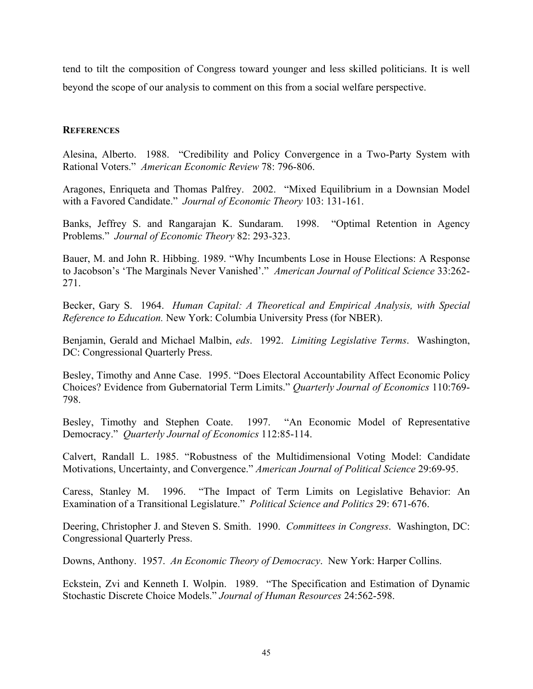tend to tilt the composition of Congress toward younger and less skilled politicians. It is well beyond the scope of our analysis to comment on this from a social welfare perspective.

## **REFERENCES**

Alesina, Alberto. 1988. "Credibility and Policy Convergence in a Two-Party System with Rational Voters." *American Economic Review* 78: 796-806.

Aragones, Enriqueta and Thomas Palfrey. 2002. "Mixed Equilibrium in a Downsian Model with a Favored Candidate." *Journal of Economic Theory* 103: 131-161.

Banks, Jeffrey S. and Rangarajan K. Sundaram. 1998. "Optimal Retention in Agency Problems." *Journal of Economic Theory* 82: 293-323.

Bauer, M. and John R. Hibbing. 1989. "Why Incumbents Lose in House Elections: A Response to Jacobson's 'The Marginals Never Vanished'." *American Journal of Political Science* 33:262- 271.

Becker, Gary S. 1964. *Human Capital: A Theoretical and Empirical Analysis, with Special Reference to Education.* New York: Columbia University Press (for NBER).

Benjamin, Gerald and Michael Malbin, *eds*. 1992. *Limiting Legislative Terms*. Washington, DC: Congressional Quarterly Press.

Besley, Timothy and Anne Case. 1995. "Does Electoral Accountability Affect Economic Policy Choices? Evidence from Gubernatorial Term Limits." *Quarterly Journal of Economics* 110:769- 798.

Besley, Timothy and Stephen Coate. 1997. "An Economic Model of Representative Democracy." *Quarterly Journal of Economics* 112:85-114.

Calvert, Randall L. 1985. "Robustness of the Multidimensional Voting Model: Candidate Motivations, Uncertainty, and Convergence." *American Journal of Political Science* 29:69-95.

Caress, Stanley M. 1996. "The Impact of Term Limits on Legislative Behavior: An Examination of a Transitional Legislature." *Political Science and Politics* 29: 671-676.

Deering, Christopher J. and Steven S. Smith. 1990. *Committees in Congress*. Washington, DC: Congressional Quarterly Press.

Downs, Anthony. 1957. *An Economic Theory of Democracy*. New York: Harper Collins.

Eckstein, Zvi and Kenneth I. Wolpin. 1989. "The Specification and Estimation of Dynamic Stochastic Discrete Choice Models." *Journal of Human Resources* 24:562-598.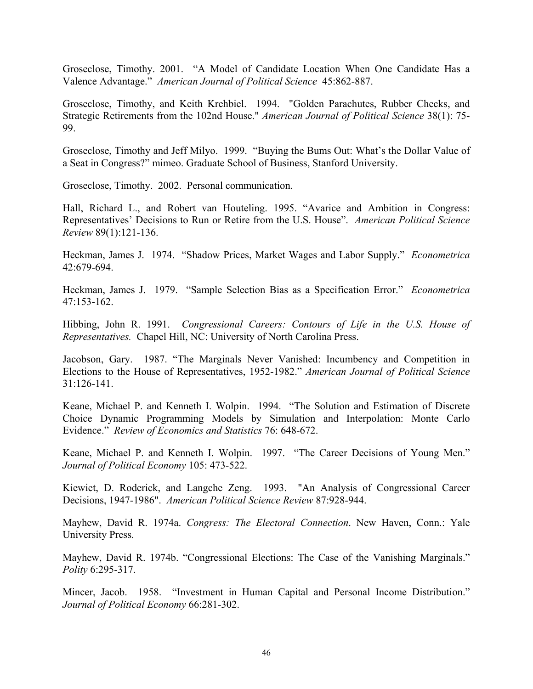Groseclose, Timothy. 2001. "A Model of Candidate Location When One Candidate Has a Valence Advantage." *American Journal of Political Science* 45:862-887.

Groseclose, Timothy, and Keith Krehbiel. 1994. "Golden Parachutes, Rubber Checks, and Strategic Retirements from the 102nd House." *American Journal of Political Science* 38(1): 75- 99.

Groseclose, Timothy and Jeff Milyo. 1999. "Buying the Bums Out: What's the Dollar Value of a Seat in Congress?" mimeo. Graduate School of Business, Stanford University.

Groseclose, Timothy. 2002. Personal communication.

Hall, Richard L., and Robert van Houteling. 1995. "Avarice and Ambition in Congress: Representatives' Decisions to Run or Retire from the U.S. House". *American Political Science Review* 89(1):121-136.

Heckman, James J. 1974. "Shadow Prices, Market Wages and Labor Supply." *Econometrica* 42:679-694.

Heckman, James J. 1979. "Sample Selection Bias as a Specification Error." *Econometrica* 47:153-162.

Hibbing, John R. 1991. *Congressional Careers: Contours of Life in the U.S. House of Representatives.* Chapel Hill, NC: University of North Carolina Press.

Jacobson, Gary. 1987. "The Marginals Never Vanished: Incumbency and Competition in Elections to the House of Representatives, 1952-1982." *American Journal of Political Science*  31:126-141.

Keane, Michael P. and Kenneth I. Wolpin. 1994. "The Solution and Estimation of Discrete Choice Dynamic Programming Models by Simulation and Interpolation: Monte Carlo Evidence." *Review of Economics and Statistics* 76: 648-672.

Keane, Michael P. and Kenneth I. Wolpin. 1997. "The Career Decisions of Young Men." *Journal of Political Economy* 105: 473-522.

Kiewiet, D. Roderick, and Langche Zeng. 1993. "An Analysis of Congressional Career Decisions, 1947-1986". *American Political Science Review* 87:928-944.

Mayhew, David R. 1974a. *Congress: The Electoral Connection*. New Haven, Conn.: Yale University Press.

Mayhew, David R. 1974b. "Congressional Elections: The Case of the Vanishing Marginals." *Polity* 6:295-317.

Mincer, Jacob. 1958. "Investment in Human Capital and Personal Income Distribution." *Journal of Political Economy* 66:281-302.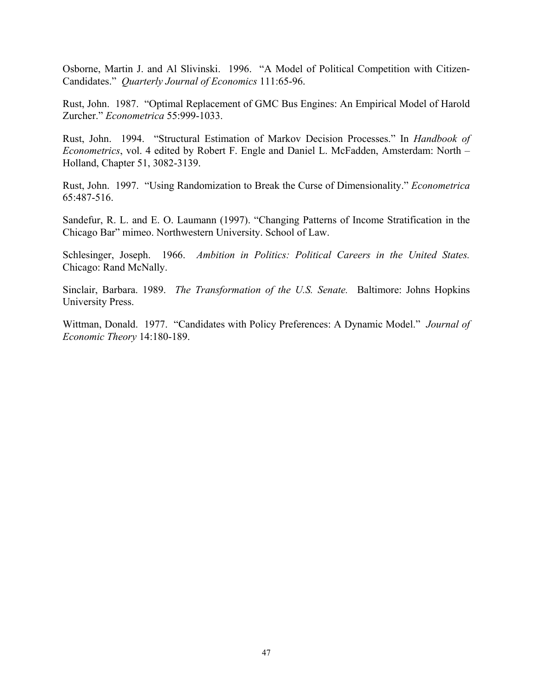Osborne, Martin J. and Al Slivinski. 1996. "A Model of Political Competition with Citizen-Candidates." *Quarterly Journal of Economics* 111:65-96.

Rust, John. 1987. "Optimal Replacement of GMC Bus Engines: An Empirical Model of Harold Zurcher." *Econometrica* 55:999-1033.

Rust, John. 1994. "Structural Estimation of Markov Decision Processes." In *Handbook of Econometrics*, vol. 4 edited by Robert F. Engle and Daniel L. McFadden, Amsterdam: North – Holland, Chapter 51, 3082-3139.

Rust, John. 1997. "Using Randomization to Break the Curse of Dimensionality." *Econometrica* 65:487-516.

Sandefur, R. L. and E. O. Laumann (1997). "Changing Patterns of Income Stratification in the Chicago Bar" mimeo. Northwestern University. School of Law.

Schlesinger, Joseph. 1966. *Ambition in Politics: Political Careers in the United States.*  Chicago: Rand McNally.

Sinclair, Barbara. 1989. *The Transformation of the U.S. Senate.* Baltimore: Johns Hopkins University Press.

Wittman, Donald. 1977. "Candidates with Policy Preferences: A Dynamic Model." *Journal of Economic Theory* 14:180-189.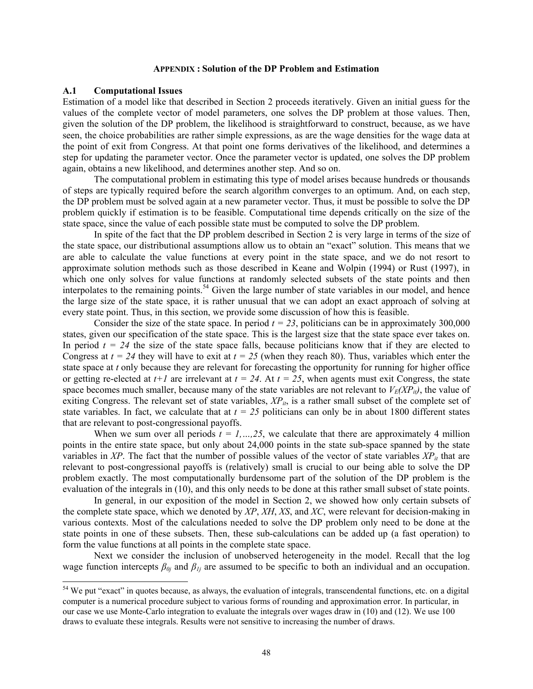#### **APPENDIX : Solution of the DP Problem and Estimation**

#### **A.1 Computational Issues**

 $\overline{\phantom{a}}$ 

Estimation of a model like that described in Section 2 proceeds iteratively. Given an initial guess for the values of the complete vector of model parameters, one solves the DP problem at those values. Then, given the solution of the DP problem, the likelihood is straightforward to construct, because, as we have seen, the choice probabilities are rather simple expressions, as are the wage densities for the wage data at the point of exit from Congress. At that point one forms derivatives of the likelihood, and determines a step for updating the parameter vector. Once the parameter vector is updated, one solves the DP problem again, obtains a new likelihood, and determines another step. And so on.

The computational problem in estimating this type of model arises because hundreds or thousands of steps are typically required before the search algorithm converges to an optimum. And, on each step, the DP problem must be solved again at a new parameter vector. Thus, it must be possible to solve the DP problem quickly if estimation is to be feasible. Computational time depends critically on the size of the state space, since the value of each possible state must be computed to solve the DP problem.

 In spite of the fact that the DP problem described in Section 2 is very large in terms of the size of the state space, our distributional assumptions allow us to obtain an "exact" solution. This means that we are able to calculate the value functions at every point in the state space, and we do not resort to approximate solution methods such as those described in Keane and Wolpin (1994) or Rust (1997), in which one only solves for value functions at randomly selected subsets of the state points and then interpolates to the remaining points.<sup>54</sup> Given the large number of state variables in our model, and hence the large size of the state space, it is rather unusual that we can adopt an exact approach of solving at every state point. Thus, in this section, we provide some discussion of how this is feasible.

Consider the size of the state space. In period  $t = 23$ , politicians can be in approximately 300,000 states, given our specification of the state space. This is the largest size that the state space ever takes on. In period  $t = 24$  the size of the state space falls, because politicians know that if they are elected to Congress at  $t = 24$  they will have to exit at  $t = 25$  (when they reach 80). Thus, variables which enter the state space at *t* only because they are relevant for forecasting the opportunity for running for higher office or getting re-elected at  $t+1$  are irrelevant at  $t = 24$ . At  $t = 25$ , when agents must exit Congress, the state space becomes much smaller, because many of the state variables are not relevant to  $V_E(XP_{ii})$ , the value of exiting Congress. The relevant set of state variables,  $XP_{it}$ , is a rather small subset of the complete set of state variables. In fact, we calculate that at  $t = 25$  politicians can only be in about 1800 different states that are relevant to post-congressional payoffs.

When we sum over all periods  $t = 1, \ldots, 25$ , we calculate that there are approximately 4 million points in the entire state space, but only about 24,000 points in the state sub-space spanned by the state variables in  $XP$ . The fact that the number of possible values of the vector of state variables  $XP_{it}$  that are relevant to post-congressional payoffs is (relatively) small is crucial to our being able to solve the DP problem exactly. The most computationally burdensome part of the solution of the DP problem is the evaluation of the integrals in (10), and this only needs to be done at this rather small subset of state points.

In general, in our exposition of the model in Section 2, we showed how only certain subsets of the complete state space, which we denoted by *XP*, *XH*, *XS*, and *XC*, were relevant for decision-making in various contexts. Most of the calculations needed to solve the DP problem only need to be done at the state points in one of these subsets. Then, these sub-calculations can be added up (a fast operation) to form the value functions at all points in the complete state space.

Next we consider the inclusion of unobserved heterogeneity in the model. Recall that the log wage function intercepts  $\beta_{0j}$  and  $\beta_{1j}$  are assumed to be specific to both an individual and an occupation.

<sup>&</sup>lt;sup>54</sup> We put "exact" in quotes because, as always, the evaluation of integrals, transcendental functions, etc. on a digital computer is a numerical procedure subject to various forms of rounding and approximation error. In particular, in our case we use Monte-Carlo integration to evaluate the integrals over wages draw in (10) and (12). We use 100 draws to evaluate these integrals. Results were not sensitive to increasing the number of draws.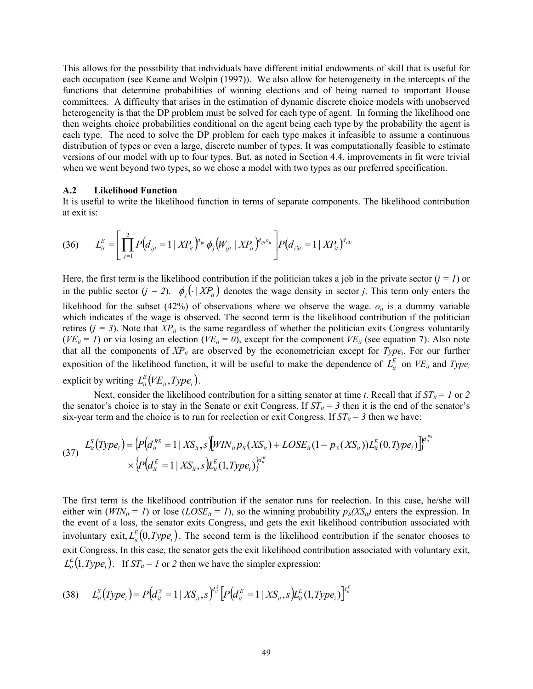This allows for the possibility that individuals have different initial endowments of skill that is useful for each occupation (see Keane and Wolpin (1997)). We also allow for heterogeneity in the intercepts of the functions that determine probabilities of winning elections and of being named to important House committees. A difficulty that arises in the estimation of dynamic discrete choice models with unobserved heterogeneity is that the DP problem must be solved for each type of agent. In forming the likelihood one then weights choice probabilities conditional on the agent being each type by the probability the agent is each type. The need to solve the DP problem for each type makes it infeasible to assume a continuous distribution of types or even a large, discrete number of types. It was computationally feasible to estimate versions of our model with up to four types. But, as noted in Section 4.4, improvements in fit were trivial when we went beyond two types, so we chose a model with two types as our preferred specification.

#### **A.2 Likelihood Function**

It is useful to write the likelihood function in terms of separate components. The likelihood contribution at exit is:

$$
(36) \qquad L_{it}^{E} = \left[ \prod_{j=1}^{2} P\left(d_{ijt} = 1 \mid XP_{it}\right)^{d_{ijt}} \phi_{j} \left(W_{ijt} \mid XP_{it}\right)^{d_{ijt}o_{it}} \right] P\left(d_{i3t} = 1 \mid XP_{it}\right)^{d_{i3t}}
$$

Here, the first term is the likelihood contribution if the politician takes a job in the private sector  $(j = 1)$  or in the public sector  $(j = 2)$ .  $\phi_i(\cdot | X P_i)$  denotes the wage density in sector *j*. This term only enters the likelihood for the subset  $(42%)$  of observations where we observe the wage.  $o_{it}$  is a dummy variable which indicates if the wage is observed. The second term is the likelihood contribution if the politician retires  $(j = 3)$ . Note that  $XP_{it}$  is the same regardless of whether the politician exits Congress voluntarily ( $VE_{it} = 1$ ) or via losing an election ( $VE_{it} = 0$ ), except for the component  $VE_{it}$  (see equation 7). Also note that all the components of  $XP_{it}$  are observed by the econometrician except for *Type<sub>i</sub>*. For our further exposition of the likelihood function, it will be useful to make the dependence of  $L_i^E$  on  $VE_{it}$  and  $Type_i$ explicit by writing  $L_i^E(VE_i, Type_i)$ .

Next, consider the likelihood contribution for a sitting senator at time *t*. Recall that if  $ST_{it} = 1$  or 2 the senator's choice is to stay in the Senate or exit Congress. If  $ST_{it} = 3$  then it is the end of the senator's six-year term and the choice is to run for reelection or exit Congress. If  $ST_{it} = 3$  then we have:

$$
(37) \quad L_{ii}^{S}(Type_{i}) = \left\{ P\left(d_{ii}^{RS} = 1 \mid XS_{ii}, s \right) \left[ WIN_{ii}p_{S}(XS_{ii}) + LOSE_{ii}(1 - p_{S}(XS_{ii}))L_{ii}^{E}(0, Type_{i}) \right] \right\}^{d_{ii}^{RS}} \\ \times \left\{ P\left(d_{ii}^{E} = 1 \mid XS_{ii}, s \right) \left[ L_{ii}^{E}(1, Type_{i}) \right]^{d_{ii}^{E}} \right\}
$$

The first term is the likelihood contribution if the senator runs for reelection. In this case, he/she will either win  $(WIN_{it} = I)$  or lose  $(LOSE_{it} = I)$ , so the winning probability  $p_S(XS_{it})$  enters the expression. In the event of a loss, the senator exits Congress, and gets the exit likelihood contribution associated with involuntary exit,  $L_{it}^{E}(0, Type_{i})$ . The second term is the likelihood contribution if the senator chooses to exit Congress. In this case, the senator gets the exit likelihood contribution associated with voluntary exit,  $L_{it}^{E}(1, Type_{i})$ . If  $ST_{it} = 1$  or 2 then we have the simpler expression:

$$
(38) \qquad L_{it}^{S}(Type_i) = P\big(d_{it}^{S} = 1 \mid XS_{it}, s\big)^{d_{it}^{S}} \big[P\big(d_{it}^{E} = 1 \mid XS_{it}, s\big) L_{it}^{E}(1, Type_i)\big]^{d_{it}^{E}}
$$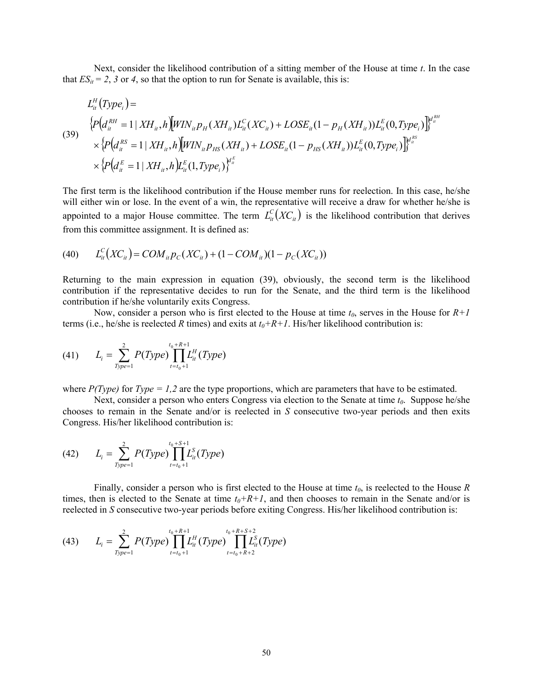Next, consider the likelihood contribution of a sitting member of the House at time *t*. In the case that  $ES_{it} = 2$ , 3 or 4, so that the option to run for Senate is available, this is:

$$
L_{ii}^{H}(Type_{i}) =
$$
\n
$$
\{P\Big(d_{ii}^{RH} = 1 \mid XH_{ii}, h\Big)[WIN_{ii}p_{H}(XH_{ii})L_{ii}^{C}(XC_{ii}) + LOSE_{ii}(1 - p_{H}(XH_{ii}))L_{ii}^{E}(0, Type_{i})\Big]^{d_{ii}^{RH}}
$$
\n
$$
\times \{P\Big(d_{ii}^{RS} = 1 \mid XH_{ii}, h\Big)[WIN_{ii}p_{HS}(XH_{ii}) + LOSE_{ii}(1 - p_{HS}(XH_{ii}))L_{ii}^{E}(0, Type_{i})\Big]^{d_{ii}^{RS}}
$$
\n
$$
\times \{P\Big(d_{ii}^{E} = 1 \mid XH_{ii}, h\Big)L_{ii}^{E}(1, Type_{i})\Big\}^{d_{ii}^{E}}
$$

The first term is the likelihood contribution if the House member runs for reelection. In this case, he/she will either win or lose. In the event of a win, the representative will receive a draw for whether he/she is appointed to a major House committee. The term  $L_i^C(XC_i)$  is the likelihood contribution that derives from this committee assignment. It is defined as:

(40) 
$$
L_{ii}^{C}(XC_{ii}) = COM_{ii}p_{C}(XC_{ii}) + (1 - COM_{ii})(1 - p_{C}(XC_{ii}))
$$

Returning to the main expression in equation (39), obviously, the second term is the likelihood contribution if the representative decides to run for the Senate, and the third term is the likelihood contribution if he/she voluntarily exits Congress.

Now, consider a person who is first elected to the House at time  $t_0$ , serves in the House for  $R+1$ terms (i.e., he/she is reelected *R* times) and exits at  $t_0 + R + I$ . His/her likelihood contribution is:

(41) 
$$
L_i = \sum_{Type=1}^{2} P(Type) \prod_{t=t_0+1}^{t_0+R+1} L_{it}^H(Type)
$$

where  $P(Type)$  for  $Type = 1,2$  are the type proportions, which are parameters that have to be estimated.

Next, consider a person who enters Congress via election to the Senate at time  $t_0$ . Suppose he/she chooses to remain in the Senate and/or is reelected in *S* consecutive two-year periods and then exits Congress. His/her likelihood contribution is:

(42) 
$$
L_i = \sum_{Type=1}^{2} P(Type) \prod_{t=t_0+1}^{t_0+S+1} L_{it}^{S}(Type)
$$

Finally, consider a person who is first elected to the House at time  $t_0$ , is reelected to the House *R* times, then is elected to the Senate at time  $t_0+R+1$ , and then chooses to remain in the Senate and/or is reelected in *S* consecutive two-year periods before exiting Congress. His/her likelihood contribution is:

$$
(43) \qquad L_i = \sum_{Type=1}^{2} P(Type) \prod_{t=t_0+1}^{t_0+R+1} L_{it}^H(Type) \prod_{t=t_0+R+2}^{t_0+R+S+2} L_{it}^S(Type)
$$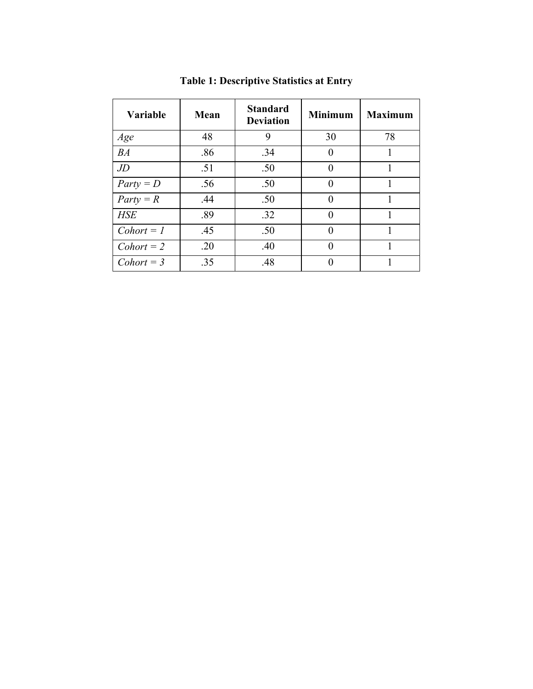| <b>Variable</b>   | Mean | <b>Standard</b><br><b>Deviation</b> | <b>Minimum</b> | <b>Maximum</b> |
|-------------------|------|-------------------------------------|----------------|----------------|
| Age               | 48   | 9                                   | 30             | 78             |
| BA                | .86  | .34                                 |                |                |
| JD                | .51  | .50                                 |                |                |
| ${\it Party} = D$ | .56  | .50                                 |                |                |
| ${\it Party} = R$ | .44  | .50                                 |                |                |
| <b>HSE</b>        | .89  | .32                                 |                |                |
| $Cohort = 1$      | .45  | .50                                 |                |                |
| $Cohort = 2$      | .20  | .40                                 |                |                |
| $Cohort = 3$      | .35  | .48                                 |                |                |

## **Table 1: Descriptive Statistics at Entry**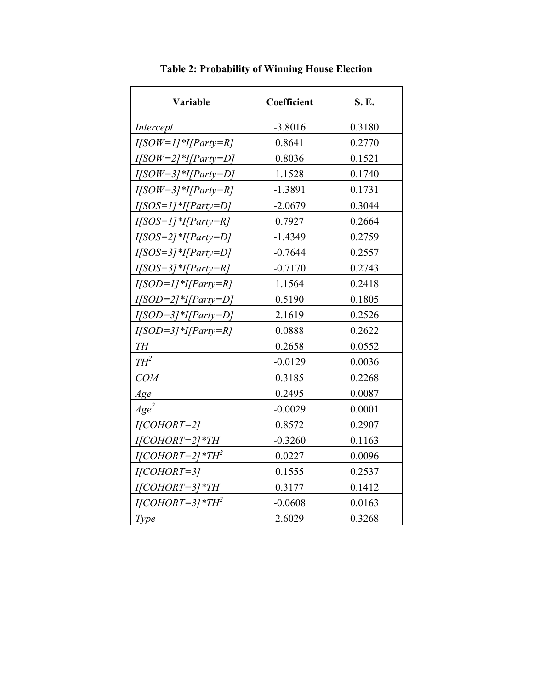| Variable                            | Coefficient | S. E.  |
|-------------------------------------|-------------|--------|
| Intercept                           | $-3.8016$   | 0.3180 |
| $I[SOW=1]*I[Party=R]$               | 0.8641      | 0.2770 |
| $I[SOW=2]*I[Party=D]$               | 0.8036      | 0.1521 |
| $I[SOW=3]^*I[Party=D]$              | 1.1528      | 0.1740 |
| $I[SOW=3]^*I[Party=R]$              | $-1.3891$   | 0.1731 |
| $I[SOS=1]*I[Party=D]$               | $-2.0679$   | 0.3044 |
| $I[SOS=1]*I[Party=R]$               | 0.7927      | 0.2664 |
| $I[SOS=2]*I[Party=D]$               | $-1.4349$   | 0.2759 |
| $I/SOS=3$ <sup>*</sup> $I[Party=D]$ | $-0.7644$   | 0.2557 |
| $I[SOS=3]*I[Party=R]$               | $-0.7170$   | 0.2743 |
| $I[SOD=1]*I[Party=R]$               | 1.1564      | 0.2418 |
| $I[SOD=2]*I[Party=D]$               | 0.5190      | 0.1805 |
| $I[SOD=3]*I[Party=D]$               | 2.1619      | 0.2526 |
| $I[SOD=3]*I[Party=R]$               | 0.0888      | 0.2622 |
| $T\!H$                              | 0.2658      | 0.0552 |
| $TH^2$                              | $-0.0129$   | 0.0036 |
| COM                                 | 0.3185      | 0.2268 |
| Age                                 | 0.2495      | 0.0087 |
| $Age^2$                             | $-0.0029$   | 0.0001 |
| $I/COHORT=2J$                       | 0.8572      | 0.2907 |
| I[COHORT=2]*TH                      | $-0.3260$   | 0.1163 |
| $I[COHORT=2]*TH^2$                  | 0.0227      | 0.0096 |
| $I/COHORT=3$ ]                      | 0.1555      | 0.2537 |
| $I/COHORT=3$ <sup>*</sup> TH        | 0.3177      | 0.1412 |
| $I/COHORT=3$ <sup>*</sup> $TH^2$    | $-0.0608$   | 0.0163 |
| Type                                | 2.6029      | 0.3268 |

**Table 2: Probability of Winning House Election**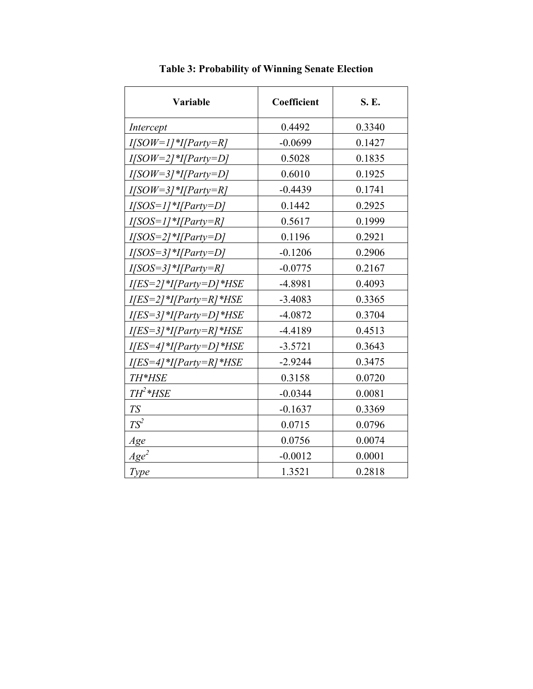| Variable                                             | Coefficient | S. E.  |
|------------------------------------------------------|-------------|--------|
| Intercept                                            | 0.4492      | 0.3340 |
| $I[SOW=1]^*I[Party=R]$                               | $-0.0699$   | 0.1427 |
| $I/SOW=2$ <sup>*</sup> $I/Party=D$ ]                 | 0.5028      | 0.1835 |
| $I[SOW=3]^*I[Party=D]$                               | 0.6010      | 0.1925 |
| $I/SOW=3$ <sup>*</sup> $I/Party=R$ ]                 | $-0.4439$   | 0.1741 |
| $I/SOS=1$ <sup>*</sup> $I/Party=DI$                  | 0.1442      | 0.2925 |
| $I[SOS=1]*I[Party=R]$                                | 0.5617      | 0.1999 |
| $I[SOS=2]*I[Party=D]$                                | 0.1196      | 0.2921 |
| $I[SOS=3]*I[Party=D]$                                | $-0.1206$   | 0.2906 |
| $I[SOS=3]*I[Party=R]$                                | $-0.0775$   | 0.2167 |
| $I[ES=2]$ *I[Party=D]*HSE                            | $-4.8981$   | 0.4093 |
| $I[ES=2]$ *I[Party=R]*HSE                            | $-3.4083$   | 0.3365 |
| I[ES=3]*I[Party=D]*HSE                               | $-4.0872$   | 0.3704 |
| $I/ES=3$ <sup>*</sup> $I/Party=R$ <sup>*</sup> $HSE$ | $-4.4189$   | 0.4513 |
| $I[ES=4]*I[Party=D]*HSE$                             | $-3.5721$   | 0.3643 |
| $I/ES=4$ <sup>*</sup> $I/Party=R$ <sup>*</sup> $HSE$ | $-2.9244$   | 0.3475 |
| TH*HSE                                               | 0.3158      | 0.0720 |
| $TH^2*HSE$                                           | $-0.0344$   | 0.0081 |
| TS                                                   | $-0.1637$   | 0.3369 |
| $TS^2$                                               | 0.0715      | 0.0796 |
| Age                                                  | 0.0756      | 0.0074 |
| $Age^2$                                              | $-0.0012$   | 0.0001 |
| Type                                                 | 1.3521      | 0.2818 |

**Table 3: Probability of Winning Senate Election**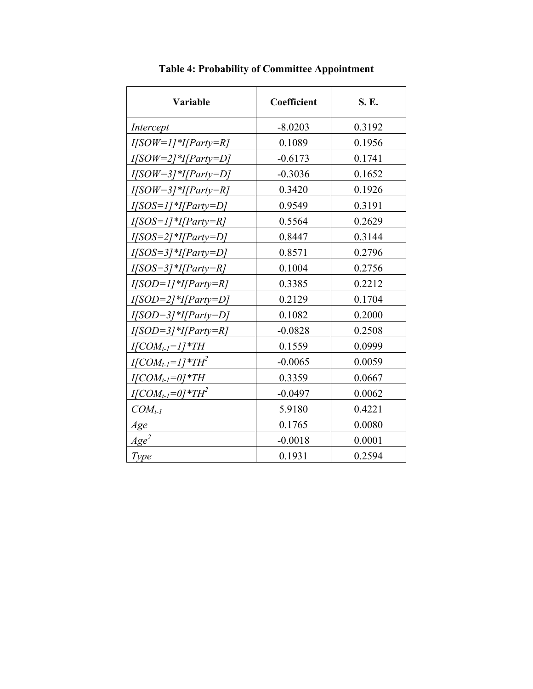| Variable                                 | Coefficient | S. E.  |
|------------------------------------------|-------------|--------|
| Intercept                                | $-8.0203$   | 0.3192 |
| $I[SOW=1]*I[Party=R]$                    | 0.1089      | 0.1956 |
| $I[SOW=2]$ * $I[Party=D]$                | $-0.6173$   | 0.1741 |
| $I[SOW=3]^*I[Party=D]$                   | $-0.3036$   | 0.1652 |
| $I[SOW=3]^*I[Party=R]$                   | 0.3420      | 0.1926 |
| $I/SOS=1$ <sup>*</sup> $I/Party=D$ ]     | 0.9549      | 0.3191 |
| $I[SOS=1]*I[Party=R]$                    | 0.5564      | 0.2629 |
| $I[SOS=2]*I[Party=D]$                    | 0.8447      | 0.3144 |
| $I[SOS=3]*I[Party=D]$                    | 0.8571      | 0.2796 |
| $I[SOS=3]*I[Party=R]$                    | 0.1004      | 0.2756 |
| $I[SOD=1]*I[Party=R]$                    | 0.3385      | 0.2212 |
| $I[SOD=2]*I[Party=D]$                    | 0.2129      | 0.1704 |
| $I[SOD=3]*I[Party=D]$                    | 0.1082      | 0.2000 |
| $I[SOD=3]*I[Party=R]$                    | $-0.0828$   | 0.2508 |
| $I[COM_{t-1}=1]*TH$                      | 0.1559      | 0.0999 |
| I[COM <sub>t-1</sub> =1]*TH <sup>2</sup> | $-0.0065$   | 0.0059 |
| $I[COM_{t-1}=0]*TH$                      | 0.3359      | 0.0667 |
| $I[COM_{t-1} = 0]$ *TH <sup>2</sup>      | $-0.0497$   | 0.0062 |
| $COM_{t-1}$                              | 5.9180      | 0.4221 |
| Age                                      | 0.1765      | 0.0080 |
| $Age^2$                                  | $-0.0018$   | 0.0001 |
| Type                                     | 0.1931      | 0.2594 |

**Table 4: Probability of Committee Appointment**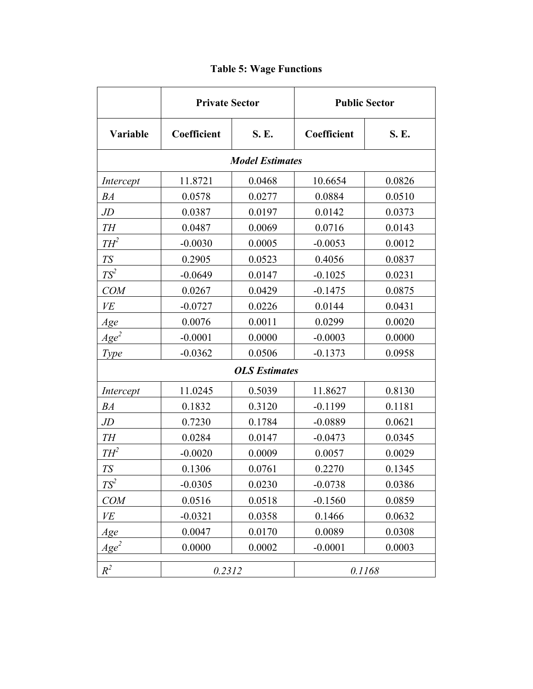|                | <b>Private Sector</b> |                        | <b>Public Sector</b> |        |
|----------------|-----------------------|------------------------|----------------------|--------|
| Variable       | Coefficient           | S. E.                  | Coefficient          | S. E.  |
|                |                       | <b>Model Estimates</b> |                      |        |
| Intercept      | 11.8721               | 0.0468                 | 10.6654              | 0.0826 |
| BA             | 0.0578                | 0.0277                 | 0.0884               | 0.0510 |
| $J\!D$         | 0.0387                | 0.0197                 | 0.0142               | 0.0373 |
| TH <sub></sub> | 0.0487                | 0.0069                 | 0.0716               | 0.0143 |
| $TH^2$         | $-0.0030$             | 0.0005                 | $-0.0053$            | 0.0012 |
| <b>TS</b>      | 0.2905                | 0.0523                 | 0.4056               | 0.0837 |
| $TS^2$         | $-0.0649$             | 0.0147                 | $-0.1025$            | 0.0231 |
| <b>COM</b>     | 0.0267                | 0.0429                 | $-0.1475$            | 0.0875 |
| <b>VE</b>      | $-0.0727$             | 0.0226                 | 0.0144               | 0.0431 |
| Age            | 0.0076                | 0.0011                 | 0.0299               | 0.0020 |
| $Age^2$        | $-0.0001$             | 0.0000                 | $-0.0003$            | 0.0000 |
| Type           | $-0.0362$             | 0.0506                 | $-0.1373$            | 0.0958 |
|                |                       | <b>OLS Estimates</b>   |                      |        |
| Intercept      | 11.0245               | 0.5039                 | 11.8627              | 0.8130 |
| BA             | 0.1832                | 0.3120                 | $-0.1199$            | 0.1181 |
| $J\!D$         | 0.7230                | 0.1784                 | $-0.0889$            | 0.0621 |
| <b>TH</b>      | 0.0284                | 0.0147                 | $-0.0473$            | 0.0345 |
| $TH^2$         | $-0.0020$             | 0.0009                 | 0.0057               | 0.0029 |
| <b>TS</b>      | 0.1306                | 0.0761                 | 0.2270               | 0.1345 |
| $TS^2$         | $-0.0305$             | 0.0230                 | $-0.0738$            | 0.0386 |
| <b>COM</b>     | 0.0516                | 0.0518                 | $-0.1560$            | 0.0859 |
| VE             | $-0.0321$             | 0.0358                 | 0.1466               | 0.0632 |
| Age            | 0.0047                | 0.0170                 | 0.0089               | 0.0308 |
| $Age^2$        | 0.0000                | 0.0002                 | $-0.0001$            | 0.0003 |
| $R^2$          | 0.2312                |                        | 0.1168               |        |

## **Table 5: Wage Functions**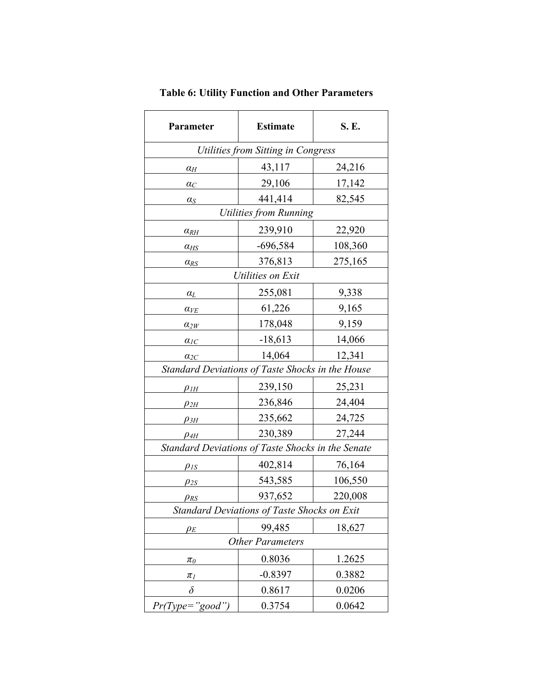| Parameter                                         | <b>Estimate</b>               | S. E.   |  |
|---------------------------------------------------|-------------------------------|---------|--|
| Utilities from Sitting in Congress                |                               |         |  |
| $\alpha_H$                                        | 43,117                        | 24,216  |  |
| $\alpha_C$                                        | 29,106                        | 17,142  |  |
| $\alpha_S$                                        | 441,414                       | 82,545  |  |
|                                                   | <b>Utilities from Running</b> |         |  |
| $\alpha_{RH}$                                     | 239,910                       | 22,920  |  |
| $\alpha$ <sub>HS</sub>                            | $-696,584$                    | 108,360 |  |
| $\alpha_{RS}$                                     | 376,813                       | 275,165 |  |
|                                                   | Utilities on Exit             |         |  |
| $\alpha_L$                                        | 255,081                       | 9,338   |  |
| $\alpha_{VE}$                                     | 61,226                        | 9,165   |  |
| $a_{2W}$                                          | 178,048                       | 9,159   |  |
| $\alpha_{IC}$                                     | $-18,613$                     | 14,066  |  |
| $a_{2C}$                                          | 14,064                        | 12,341  |  |
| Standard Deviations of Taste Shocks in the House  |                               |         |  |
| $\rho_{IH}$                                       | 239,150                       | 25,231  |  |
| $\rho_{2H}$                                       | 236,846                       | 24,404  |  |
| $\rho_{3H}$                                       | 235,662                       | 24,725  |  |
| $\rho_{4H}$                                       | 230,389                       | 27,244  |  |
| Standard Deviations of Taste Shocks in the Senate |                               |         |  |
| $\rho_{IS}$                                       | 402,814                       | 76,164  |  |
| $\rho_{2S}$                                       | 543,585                       | 106,550 |  |
| $\rho_{RS}$                                       | 937,652                       | 220,008 |  |
| Standard Deviations of Taste Shocks on Exit       |                               |         |  |
| $\rho_E$                                          | 99,485                        | 18,627  |  |
| <b>Other Parameters</b>                           |                               |         |  |
| $\pi_0$                                           | 0.8036                        | 1.2625  |  |
| $\pi_I$                                           | $-0.8397$                     | 0.3882  |  |
| $\delta$                                          | 0.8617                        | 0.0206  |  |
| $Pr(Type='good")$                                 | 0.3754                        | 0.0642  |  |

**Table 6: Utility Function and Other Parameters**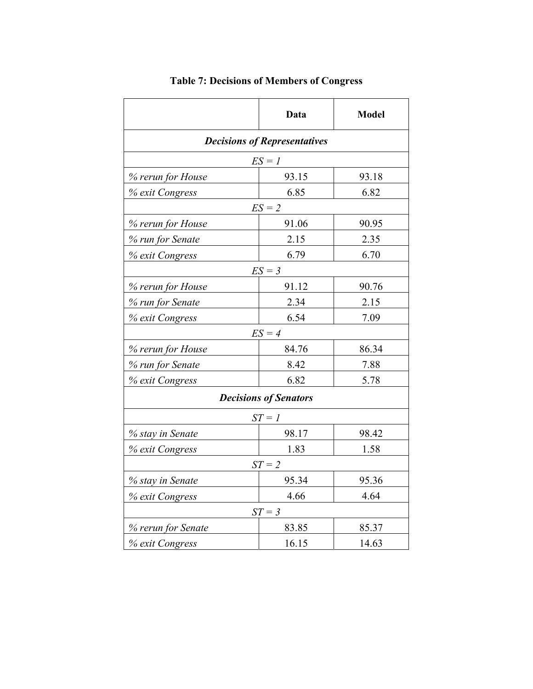|                    | Data                                | <b>Model</b> |
|--------------------|-------------------------------------|--------------|
|                    | <b>Decisions of Representatives</b> |              |
|                    | $ES = 1$                            |              |
| % rerun for House  | 93.15                               | 93.18        |
| % exit Congress    | 6.85                                | 6.82         |
|                    | $ES = 2$                            |              |
| % rerun for House  | 91.06                               | 90.95        |
| % run for Senate   | 2.15                                | 2.35         |
| % exit Congress    | 6.79                                | 6.70         |
|                    | $ES = 3$                            |              |
| % rerun for House  | 91.12                               | 90.76        |
| % run for Senate   | 2.34                                | 2.15         |
| % exit Congress    | 6.54                                | 7.09         |
|                    | $ES = 4$                            |              |
| % rerun for House  | 84.76                               | 86.34        |
| % run for Senate   | 8.42                                | 7.88         |
| % exit Congress    | 6.82                                | 5.78         |
|                    | <b>Decisions of Senators</b>        |              |
|                    | $ST = 1$                            |              |
| % stay in Senate   | 98.17                               | 98.42        |
| % exit Congress    | 1.83                                | 1.58         |
|                    | $ST = 2$                            |              |
| % stay in Senate   | 95.34                               | 95.36        |
| % exit Congress    | 4.66                                | 4.64         |
|                    | $ST = 3$                            |              |
| % rerun for Senate | 83.85                               | 85.37        |
| % exit Congress    | 16.15                               | 14.63        |

# **Table 7: Decisions of Members of Congress**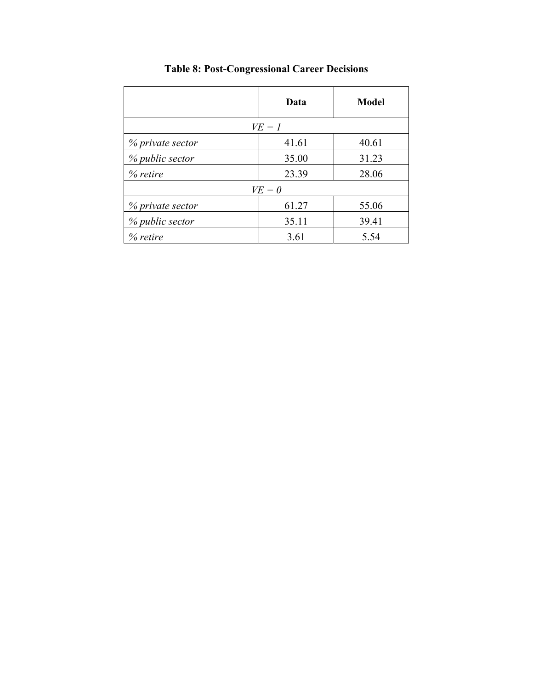|                  | Data     | Model |
|------------------|----------|-------|
|                  | $VE = I$ |       |
| % private sector | 41.61    | 40.61 |
| % public sector  | 35.00    | 31.23 |
| % retire         | 23.39    | 28.06 |
|                  | $VE=0$   |       |
| % private sector | 61.27    | 55.06 |
| % public sector  | 35.11    | 39.41 |
| % retire         | 3.61     | 5.54  |

## **Table 8: Post-Congressional Career Decisions**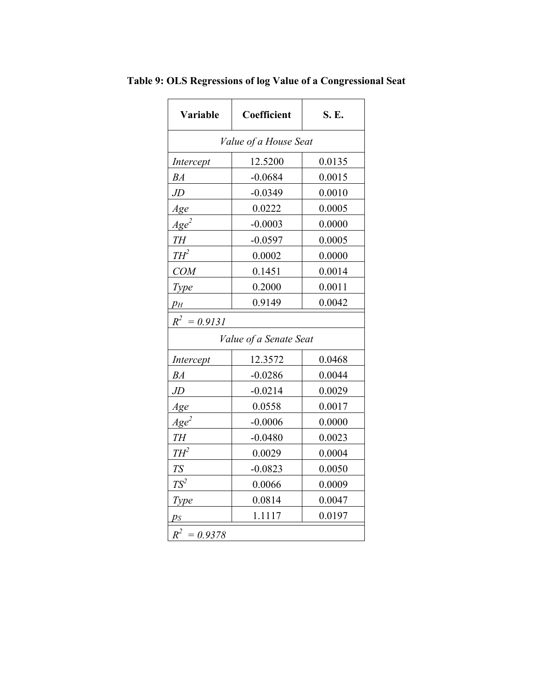| <b>Variable</b>     | Coefficient            | S. E.  |
|---------------------|------------------------|--------|
|                     | Value of a House Seat  |        |
| Intercept           | 12.5200                | 0.0135 |
| BA                  | $-0.0684$              | 0.0015 |
| JD                  | $-0.0349$              | 0.0010 |
| Age                 | 0.0222                 | 0.0005 |
| $Age^2$             | $-0.0003$              | 0.0000 |
| $T\!H$              | $-0.0597$              | 0.0005 |
| $TH^2$              | 0.0002                 | 0.0000 |
| <b>COM</b>          | 0.1451                 | 0.0014 |
| Type                | 0.2000                 | 0.0011 |
| $p_H$               | 0.9149                 | 0.0042 |
| $R^2 = 0.9131$      |                        |        |
|                     | Value of a Senate Seat |        |
| Intercept           | 12.3572                | 0.0468 |
| BA                  | $-0.0286$              | 0.0044 |
| $J\!D$              | $-0.0214$              | 0.0029 |
| Age                 | 0.0558                 | 0.0017 |
| $Age^2$             | $-0.0006$              | 0.0000 |
| $T\!H$              | $-0.0480$              | 0.0023 |
| $TH^2$              | 0.0029                 | 0.0004 |
| T S                 | $-0.0823$              | 0.0050 |
| $TS^2$              | 0.0066                 | 0.0009 |
| <b>Type</b>         | 0.0814                 | 0.0047 |
| $p_S$               | 1.1117                 | 0.0197 |
| $R^2$<br>$= 0.9378$ |                        |        |

**Table 9: OLS Regressions of log Value of a Congressional Seat**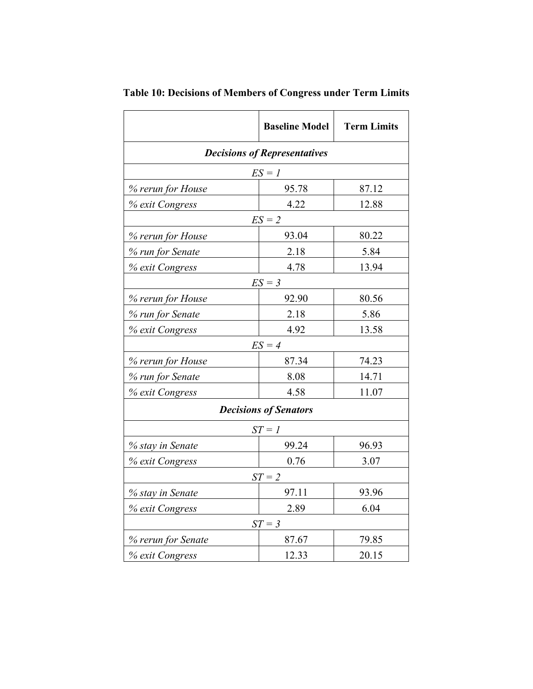|                                     | <b>Baseline Model</b> | <b>Term Limits</b> |  |  |
|-------------------------------------|-----------------------|--------------------|--|--|
| <b>Decisions of Representatives</b> |                       |                    |  |  |
|                                     | $ES = 1$              |                    |  |  |
| % rerun for House                   | 95.78                 | 87.12              |  |  |
| % exit Congress                     | 4.22                  | 12.88              |  |  |
|                                     | $ES = 2$              |                    |  |  |
| % rerun for House                   | 93.04                 | 80.22              |  |  |
| % run for Senate                    | 2.18                  | 5.84               |  |  |
| % exit Congress                     | 4.78                  | 13.94              |  |  |
|                                     | $ES = 3$              |                    |  |  |
| % rerun for House                   | 92.90                 | 80.56              |  |  |
| % run for Senate                    | 2.18                  | 5.86               |  |  |
| % exit Congress                     | 4.92                  | 13.58              |  |  |
|                                     | $ES = 4$              |                    |  |  |
| % rerun for House                   | 87.34                 | 74.23              |  |  |
| % run for Senate                    | 8.08                  | 14.71              |  |  |
| % exit Congress                     | 4.58                  | 11.07              |  |  |
| <b>Decisions of Senators</b>        |                       |                    |  |  |
| $ST = 1$                            |                       |                    |  |  |
| % stay in Senate                    | 99.24                 | 96.93              |  |  |
| % exit Congress                     | 0.76                  | 3.07               |  |  |
| $ST = 2$                            |                       |                    |  |  |
| % stay in Senate                    | 97.11                 | 93.96              |  |  |
| % exit Congress                     | 2.89                  | 6.04               |  |  |
| $ST = 3$                            |                       |                    |  |  |
| % rerun for Senate                  | 87.67                 | 79.85              |  |  |
| % exit Congress                     | 12.33                 | 20.15              |  |  |

**Table 10: Decisions of Members of Congress under Term Limits**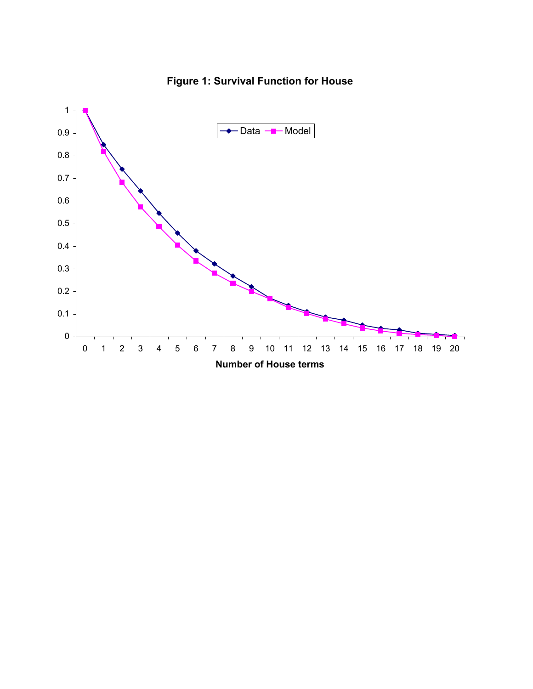

**Figure 1: Survival Function for House**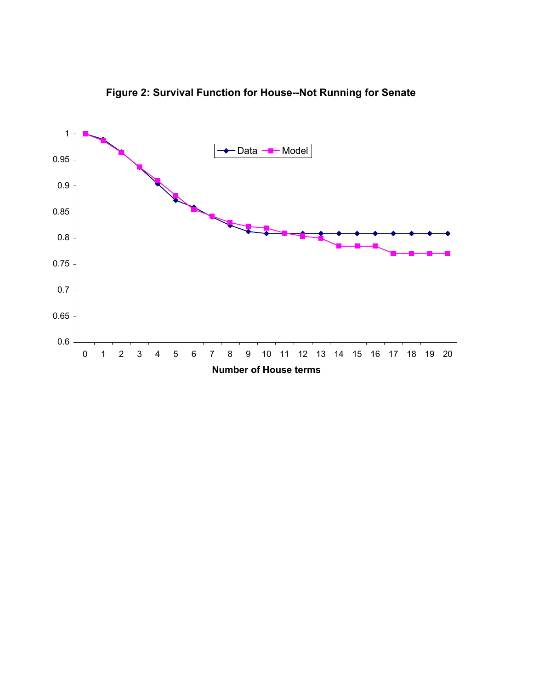

**Figure 2: Survival Function for House--Not Running for Senate**